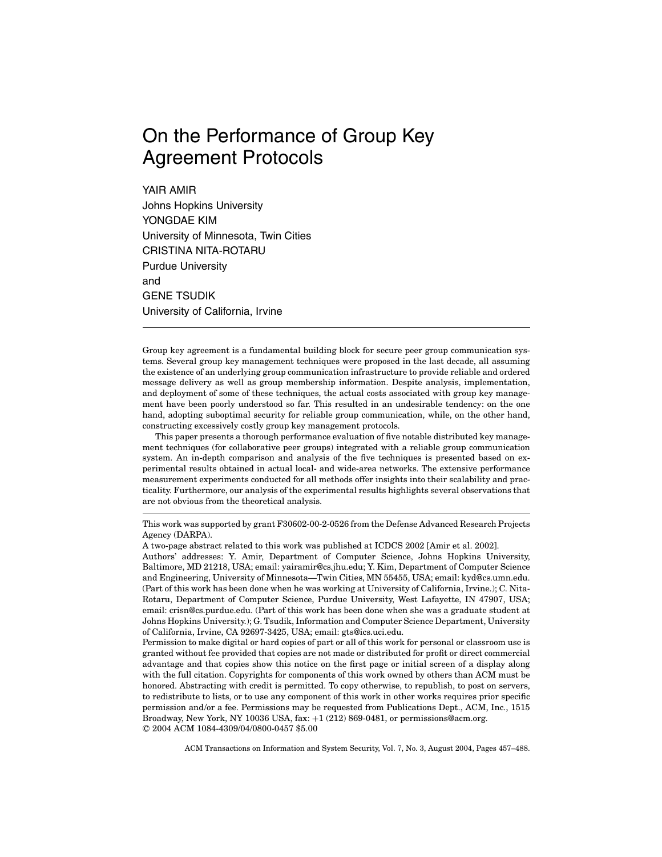# On the Performance of Group Key Agreement Protocols

YAIR AMIR Johns Hopkins University YONGDAE KIM University of Minnesota, Twin Cities CRISTINA NITA-ROTARU Purdue University and GENE TSUDIK University of California, Irvine

Group key agreement is a fundamental building block for secure peer group communication systems. Several group key management techniques were proposed in the last decade, all assuming the existence of an underlying group communication infrastructure to provide reliable and ordered message delivery as well as group membership information. Despite analysis, implementation, and deployment of some of these techniques, the actual costs associated with group key management have been poorly understood so far. This resulted in an undesirable tendency: on the one hand, adopting suboptimal security for reliable group communication, while, on the other hand, constructing excessively costly group key management protocols.

This paper presents a thorough performance evaluation of five notable distributed key management techniques (for collaborative peer groups) integrated with a reliable group communication system. An in-depth comparison and analysis of the five techniques is presented based on experimental results obtained in actual local- and wide-area networks. The extensive performance measurement experiments conducted for all methods offer insights into their scalability and practicality. Furthermore, our analysis of the experimental results highlights several observations that are not obvious from the theoretical analysis.

This work was supported by grant F30602-00-2-0526 from the Defense Advanced Research Projects Agency (DARPA).

A two-page abstract related to this work was published at ICDCS 2002 [Amir et al. 2002].

Authors' addresses: Y. Amir, Department of Computer Science, Johns Hopkins University, Baltimore, MD 21218, USA; email: yairamir@cs.jhu.edu; Y. Kim, Department of Computer Science and Engineering, University of Minnesota—Twin Cities, MN 55455, USA; email: kyd@cs.umn.edu. (Part of this work has been done when he was working at University of California, Irvine.); C. Nita-Rotaru, Department of Computer Science, Purdue University, West Lafayette, IN 47907, USA; email: crisn@cs.purdue.edu. (Part of this work has been done when she was a graduate student at Johns Hopkins University.); G. Tsudik, Information and Computer Science Department, University of California, Irvine, CA 92697-3425, USA; email: gts@ics.uci.edu.

Permission to make digital or hard copies of part or all of this work for personal or classroom use is granted without fee provided that copies are not made or distributed for profit or direct commercial advantage and that copies show this notice on the first page or initial screen of a display along with the full citation. Copyrights for components of this work owned by others than ACM must be honored. Abstracting with credit is permitted. To copy otherwise, to republish, to post on servers, to redistribute to lists, or to use any component of this work in other works requires prior specific permission and/or a fee. Permissions may be requested from Publications Dept., ACM, Inc., 1515 Broadway, New York, NY 10036 USA,  $\text{fax:} +1$  (212) 869-0481, or permissions@acm.org. <sup>C</sup> 2004 ACM 1084-4309/04/0800-0457 \$5.00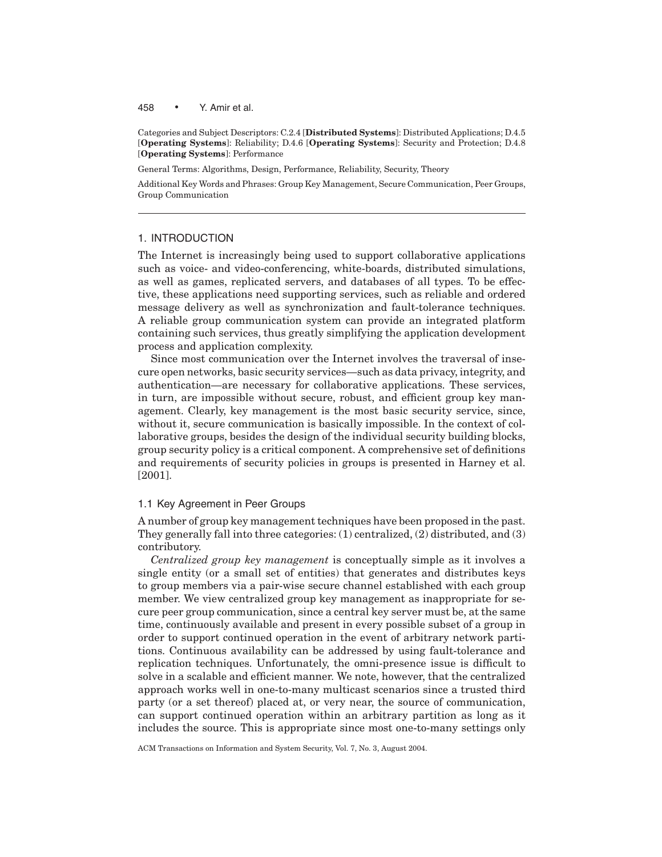Categories and Subject Descriptors: C.2.4 [**Distributed Systems**]: Distributed Applications; D.4.5 [**Operating Systems**]: Reliability; D.4.6 [**Operating Systems**]: Security and Protection; D.4.8 [**Operating Systems**]: Performance

General Terms: Algorithms, Design, Performance, Reliability, Security, Theory

Additional Key Words and Phrases: Group Key Management, Secure Communication, Peer Groups, Group Communication

# 1. INTRODUCTION

The Internet is increasingly being used to support collaborative applications such as voice- and video-conferencing, white-boards, distributed simulations, as well as games, replicated servers, and databases of all types. To be effective, these applications need supporting services, such as reliable and ordered message delivery as well as synchronization and fault-tolerance techniques. A reliable group communication system can provide an integrated platform containing such services, thus greatly simplifying the application development process and application complexity.

Since most communication over the Internet involves the traversal of insecure open networks, basic security services—such as data privacy, integrity, and authentication—are necessary for collaborative applications. These services, in turn, are impossible without secure, robust, and efficient group key management. Clearly, key management is the most basic security service, since, without it, secure communication is basically impossible. In the context of collaborative groups, besides the design of the individual security building blocks, group security policy is a critical component. A comprehensive set of definitions and requirements of security policies in groups is presented in Harney et al. [2001].

#### 1.1 Key Agreement in Peer Groups

A number of group key management techniques have been proposed in the past. They generally fall into three categories: (1) centralized, (2) distributed, and (3) contributory.

*Centralized group key management* is conceptually simple as it involves a single entity (or a small set of entities) that generates and distributes keys to group members via a pair-wise secure channel established with each group member. We view centralized group key management as inappropriate for secure peer group communication, since a central key server must be, at the same time, continuously available and present in every possible subset of a group in order to support continued operation in the event of arbitrary network partitions. Continuous availability can be addressed by using fault-tolerance and replication techniques. Unfortunately, the omni-presence issue is difficult to solve in a scalable and efficient manner. We note, however, that the centralized approach works well in one-to-many multicast scenarios since a trusted third party (or a set thereof) placed at, or very near, the source of communication, can support continued operation within an arbitrary partition as long as it includes the source. This is appropriate since most one-to-many settings only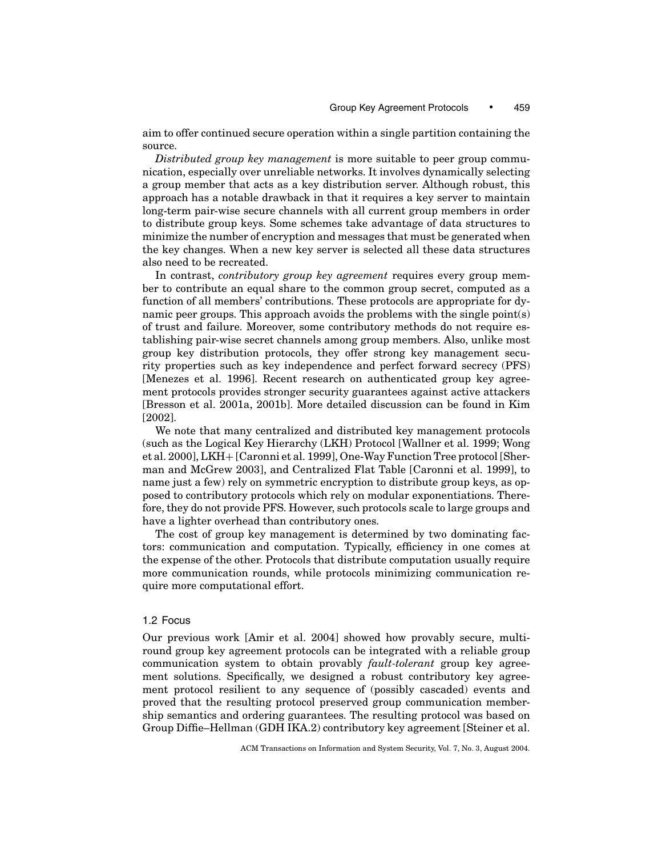aim to offer continued secure operation within a single partition containing the source.

*Distributed group key management* is more suitable to peer group communication, especially over unreliable networks. It involves dynamically selecting a group member that acts as a key distribution server. Although robust, this approach has a notable drawback in that it requires a key server to maintain long-term pair-wise secure channels with all current group members in order to distribute group keys. Some schemes take advantage of data structures to minimize the number of encryption and messages that must be generated when the key changes. When a new key server is selected all these data structures also need to be recreated.

In contrast, *contributory group key agreement* requires every group member to contribute an equal share to the common group secret, computed as a function of all members' contributions. These protocols are appropriate for dynamic peer groups. This approach avoids the problems with the single point(s) of trust and failure. Moreover, some contributory methods do not require establishing pair-wise secret channels among group members. Also, unlike most group key distribution protocols, they offer strong key management security properties such as key independence and perfect forward secrecy (PFS) [Menezes et al. 1996]. Recent research on authenticated group key agreement protocols provides stronger security guarantees against active attackers [Bresson et al. 2001a, 2001b]. More detailed discussion can be found in Kim [2002].

We note that many centralized and distributed key management protocols (such as the Logical Key Hierarchy (LKH) Protocol [Wallner et al. 1999; Wong et al. 2000], LKH+ [Caronni et al. 1999], One-Way Function Tree protocol [Sherman and McGrew 2003], and Centralized Flat Table [Caronni et al. 1999], to name just a few) rely on symmetric encryption to distribute group keys, as opposed to contributory protocols which rely on modular exponentiations. Therefore, they do not provide PFS. However, such protocols scale to large groups and have a lighter overhead than contributory ones.

The cost of group key management is determined by two dominating factors: communication and computation. Typically, efficiency in one comes at the expense of the other. Protocols that distribute computation usually require more communication rounds, while protocols minimizing communication require more computational effort.

# 1.2 Focus

Our previous work [Amir et al. 2004] showed how provably secure, multiround group key agreement protocols can be integrated with a reliable group communication system to obtain provably *fault-tolerant* group key agreement solutions. Specifically, we designed a robust contributory key agreement protocol resilient to any sequence of (possibly cascaded) events and proved that the resulting protocol preserved group communication membership semantics and ordering guarantees. The resulting protocol was based on Group Diffie–Hellman (GDH IKA.2) contributory key agreement [Steiner et al.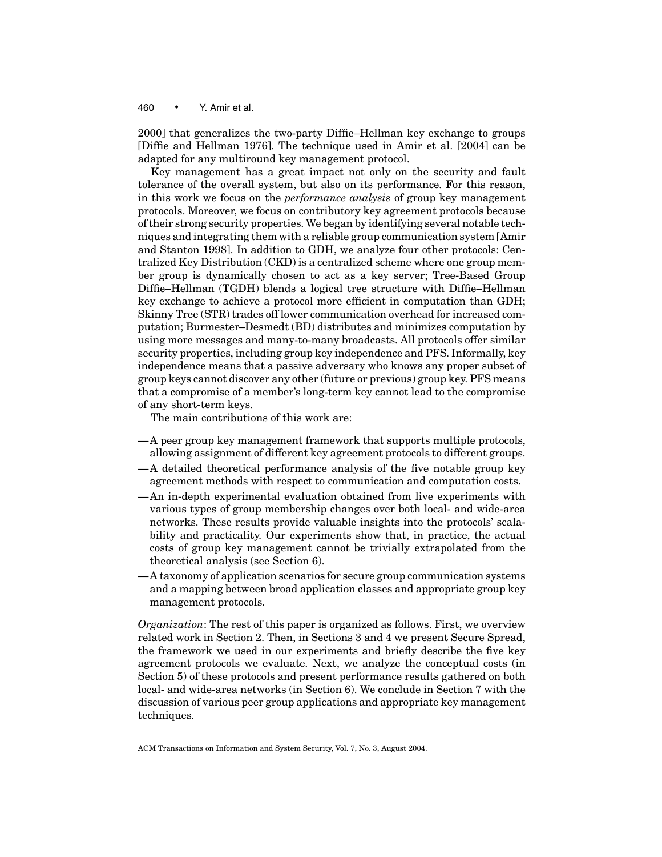2000] that generalizes the two-party Diffie–Hellman key exchange to groups [Diffie and Hellman 1976]. The technique used in Amir et al. [2004] can be adapted for any multiround key management protocol.

Key management has a great impact not only on the security and fault tolerance of the overall system, but also on its performance. For this reason, in this work we focus on the *performance analysis* of group key management protocols. Moreover, we focus on contributory key agreement protocols because of their strong security properties. We began by identifying several notable techniques and integrating them with a reliable group communication system [Amir and Stanton 1998]. In addition to GDH, we analyze four other protocols: Centralized Key Distribution (CKD) is a centralized scheme where one group member group is dynamically chosen to act as a key server; Tree-Based Group Diffie–Hellman (TGDH) blends a logical tree structure with Diffie–Hellman key exchange to achieve a protocol more efficient in computation than GDH; Skinny Tree (STR) trades off lower communication overhead for increased computation; Burmester–Desmedt (BD) distributes and minimizes computation by using more messages and many-to-many broadcasts. All protocols offer similar security properties, including group key independence and PFS. Informally, key independence means that a passive adversary who knows any proper subset of group keys cannot discover any other (future or previous) group key. PFS means that a compromise of a member's long-term key cannot lead to the compromise of any short-term keys.

The main contributions of this work are:

- —A peer group key management framework that supports multiple protocols, allowing assignment of different key agreement protocols to different groups.
- —A detailed theoretical performance analysis of the five notable group key agreement methods with respect to communication and computation costs.
- —An in-depth experimental evaluation obtained from live experiments with various types of group membership changes over both local- and wide-area networks. These results provide valuable insights into the protocols' scalability and practicality. Our experiments show that, in practice, the actual costs of group key management cannot be trivially extrapolated from the theoretical analysis (see Section 6).
- —A taxonomy of application scenarios for secure group communication systems and a mapping between broad application classes and appropriate group key management protocols.

*Organization*: The rest of this paper is organized as follows. First, we overview related work in Section 2. Then, in Sections 3 and 4 we present Secure Spread, the framework we used in our experiments and briefly describe the five key agreement protocols we evaluate. Next, we analyze the conceptual costs (in Section 5) of these protocols and present performance results gathered on both local- and wide-area networks (in Section 6). We conclude in Section 7 with the discussion of various peer group applications and appropriate key management techniques.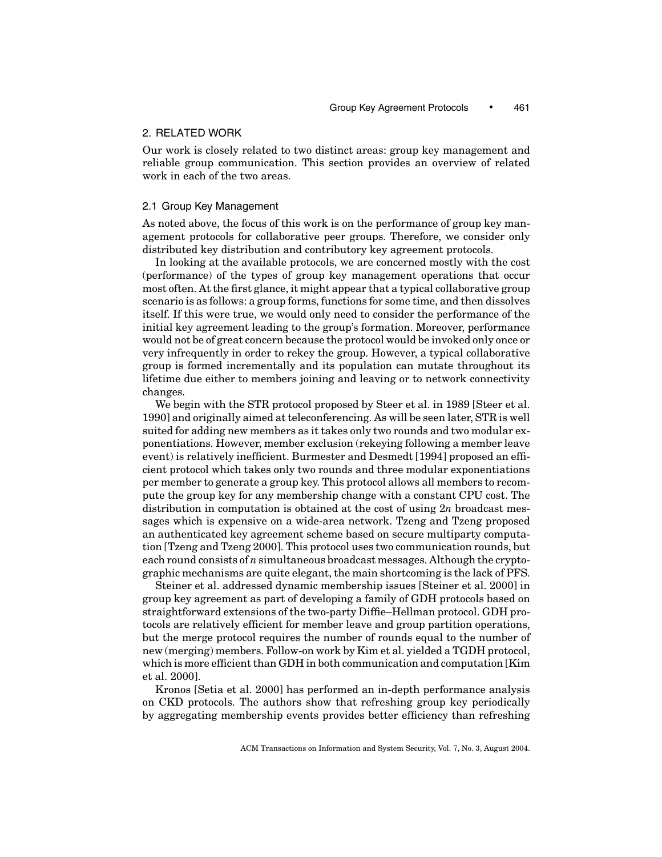# 2. RELATED WORK

Our work is closely related to two distinct areas: group key management and reliable group communication. This section provides an overview of related work in each of the two areas.

#### 2.1 Group Key Management

As noted above, the focus of this work is on the performance of group key management protocols for collaborative peer groups. Therefore, we consider only distributed key distribution and contributory key agreement protocols.

In looking at the available protocols, we are concerned mostly with the cost (performance) of the types of group key management operations that occur most often. At the first glance, it might appear that a typical collaborative group scenario is as follows: a group forms, functions for some time, and then dissolves itself. If this were true, we would only need to consider the performance of the initial key agreement leading to the group's formation. Moreover, performance would not be of great concern because the protocol would be invoked only once or very infrequently in order to rekey the group. However, a typical collaborative group is formed incrementally and its population can mutate throughout its lifetime due either to members joining and leaving or to network connectivity changes.

We begin with the STR protocol proposed by Steer et al. in 1989 [Steer et al. 1990] and originally aimed at teleconferencing. As will be seen later, STR is well suited for adding new members as it takes only two rounds and two modular exponentiations. However, member exclusion (rekeying following a member leave event) is relatively inefficient. Burmester and Desmedt [1994] proposed an efficient protocol which takes only two rounds and three modular exponentiations per member to generate a group key. This protocol allows all members to recompute the group key for any membership change with a constant CPU cost. The distribution in computation is obtained at the cost of using 2*n* broadcast messages which is expensive on a wide-area network. Tzeng and Tzeng proposed an authenticated key agreement scheme based on secure multiparty computation [Tzeng and Tzeng 2000]. This protocol uses two communication rounds, but each round consists of *n* simultaneous broadcast messages. Although the cryptographic mechanisms are quite elegant, the main shortcoming is the lack of PFS.

Steiner et al. addressed dynamic membership issues [Steiner et al. 2000] in group key agreement as part of developing a family of GDH protocols based on straightforward extensions of the two-party Diffie–Hellman protocol. GDH protocols are relatively efficient for member leave and group partition operations, but the merge protocol requires the number of rounds equal to the number of new (merging) members. Follow-on work by Kim et al. yielded a TGDH protocol, which is more efficient than GDH in both communication and computation [Kim et al. 2000].

Kronos [Setia et al. 2000] has performed an in-depth performance analysis on CKD protocols. The authors show that refreshing group key periodically by aggregating membership events provides better efficiency than refreshing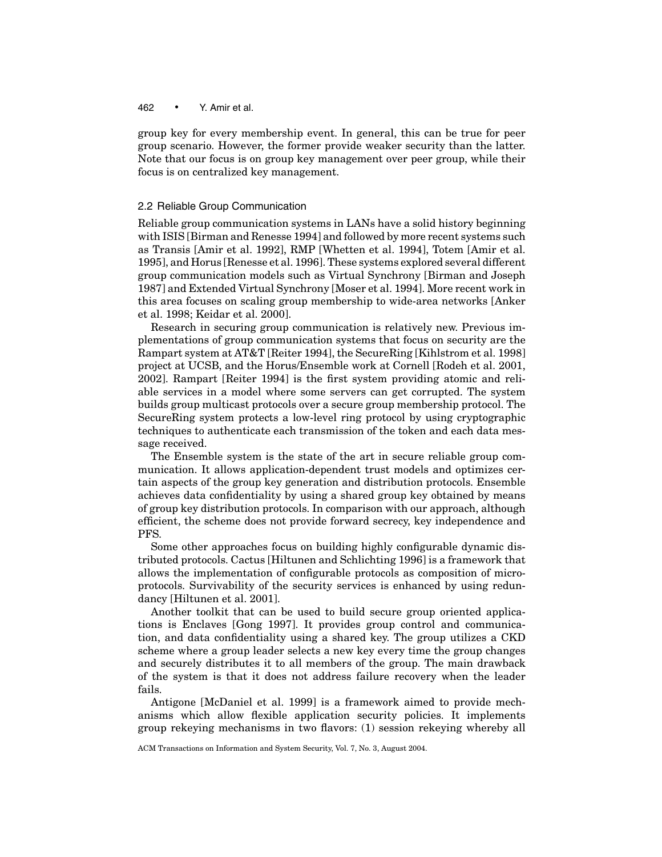group key for every membership event. In general, this can be true for peer group scenario. However, the former provide weaker security than the latter. Note that our focus is on group key management over peer group, while their focus is on centralized key management.

## 2.2 Reliable Group Communication

Reliable group communication systems in LANs have a solid history beginning with ISIS [Birman and Renesse 1994] and followed by more recent systems such as Transis [Amir et al. 1992], RMP [Whetten et al. 1994], Totem [Amir et al. 1995], and Horus [Renesse et al. 1996]. These systems explored several different group communication models such as Virtual Synchrony [Birman and Joseph 1987] and Extended Virtual Synchrony [Moser et al. 1994]. More recent work in this area focuses on scaling group membership to wide-area networks [Anker et al. 1998; Keidar et al. 2000].

Research in securing group communication is relatively new. Previous implementations of group communication systems that focus on security are the Rampart system at AT&T [Reiter 1994], the SecureRing [Kihlstrom et al. 1998] project at UCSB, and the Horus/Ensemble work at Cornell [Rodeh et al. 2001, 2002]. Rampart [Reiter 1994] is the first system providing atomic and reliable services in a model where some servers can get corrupted. The system builds group multicast protocols over a secure group membership protocol. The SecureRing system protects a low-level ring protocol by using cryptographic techniques to authenticate each transmission of the token and each data message received.

The Ensemble system is the state of the art in secure reliable group communication. It allows application-dependent trust models and optimizes certain aspects of the group key generation and distribution protocols. Ensemble achieves data confidentiality by using a shared group key obtained by means of group key distribution protocols. In comparison with our approach, although efficient, the scheme does not provide forward secrecy, key independence and PFS.

Some other approaches focus on building highly configurable dynamic distributed protocols. Cactus [Hiltunen and Schlichting 1996] is a framework that allows the implementation of configurable protocols as composition of microprotocols. Survivability of the security services is enhanced by using redundancy [Hiltunen et al. 2001].

Another toolkit that can be used to build secure group oriented applications is Enclaves [Gong 1997]. It provides group control and communication, and data confidentiality using a shared key. The group utilizes a CKD scheme where a group leader selects a new key every time the group changes and securely distributes it to all members of the group. The main drawback of the system is that it does not address failure recovery when the leader fails.

Antigone [McDaniel et al. 1999] is a framework aimed to provide mechanisms which allow flexible application security policies. It implements group rekeying mechanisms in two flavors: (1) session rekeying whereby all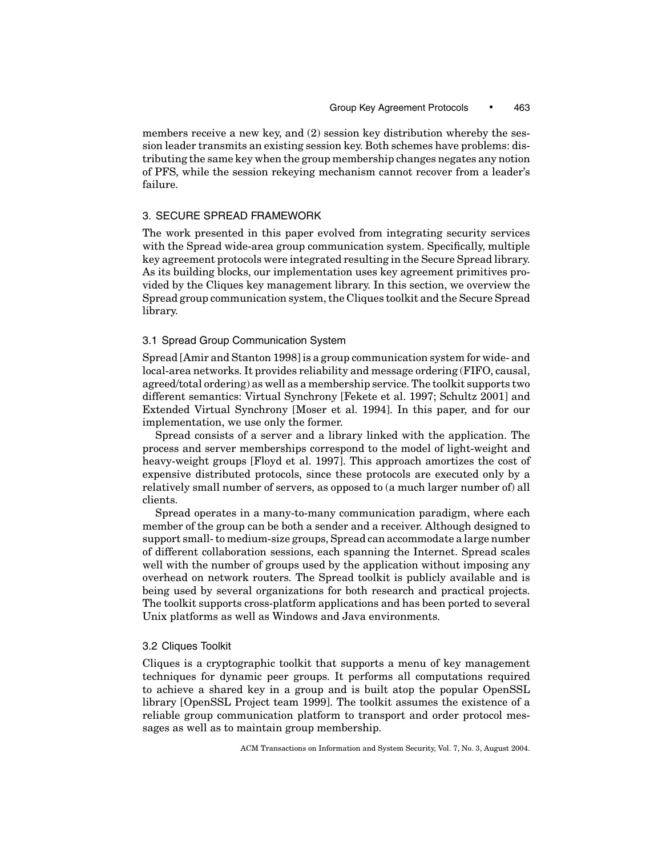members receive a new key, and (2) session key distribution whereby the session leader transmits an existing session key. Both schemes have problems: distributing the same key when the group membership changes negates any notion of PFS, while the session rekeying mechanism cannot recover from a leader's failure.

# 3. SECURE SPREAD FRAMEWORK

The work presented in this paper evolved from integrating security services with the Spread wide-area group communication system. Specifically, multiple key agreement protocols were integrated resulting in the Secure Spread library. As its building blocks, our implementation uses key agreement primitives provided by the Cliques key management library. In this section, we overview the Spread group communication system, the Cliques toolkit and the Secure Spread library.

# 3.1 Spread Group Communication System

Spread [Amir and Stanton 1998] is a group communication system for wide- and local-area networks. It provides reliability and message ordering (FIFO, causal, agreed/total ordering) as well as a membership service. The toolkit supports two different semantics: Virtual Synchrony [Fekete et al. 1997; Schultz 2001] and Extended Virtual Synchrony [Moser et al. 1994]. In this paper, and for our implementation, we use only the former.

Spread consists of a server and a library linked with the application. The process and server memberships correspond to the model of light-weight and heavy-weight groups [Floyd et al. 1997]. This approach amortizes the cost of expensive distributed protocols, since these protocols are executed only by a relatively small number of servers, as opposed to (a much larger number of) all clients.

Spread operates in a many-to-many communication paradigm, where each member of the group can be both a sender and a receiver. Although designed to support small- to medium-size groups, Spread can accommodate a large number of different collaboration sessions, each spanning the Internet. Spread scales well with the number of groups used by the application without imposing any overhead on network routers. The Spread toolkit is publicly available and is being used by several organizations for both research and practical projects. The toolkit supports cross-platform applications and has been ported to several Unix platforms as well as Windows and Java environments.

## 3.2 Cliques Toolkit

Cliques is a cryptographic toolkit that supports a menu of key management techniques for dynamic peer groups. It performs all computations required to achieve a shared key in a group and is built atop the popular OpenSSL library [OpenSSL Project team 1999]. The toolkit assumes the existence of a reliable group communication platform to transport and order protocol messages as well as to maintain group membership.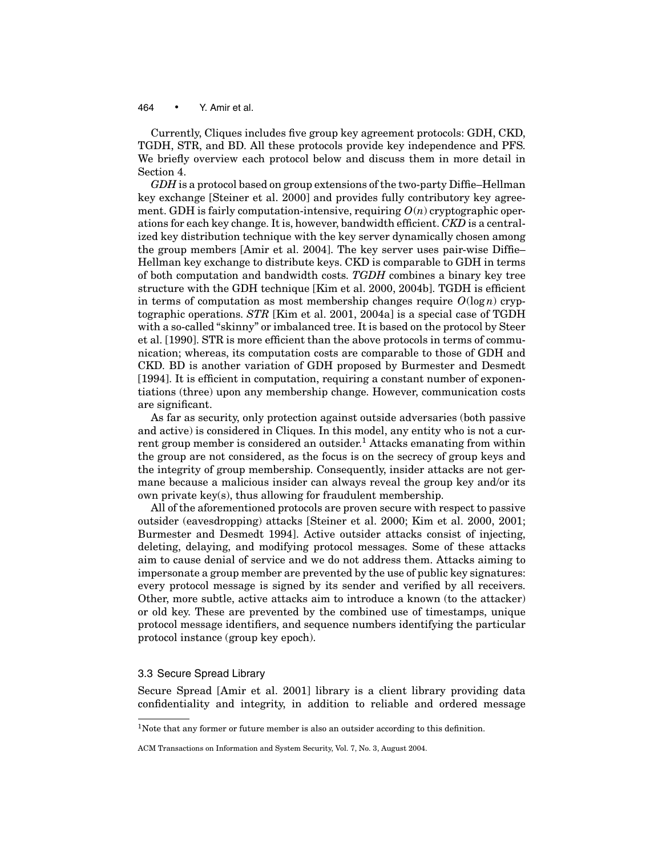Currently, Cliques includes five group key agreement protocols: GDH, CKD, TGDH, STR, and BD. All these protocols provide key independence and PFS. We briefly overview each protocol below and discuss them in more detail in Section 4.

*GDH* is a protocol based on group extensions of the two-party Diffie–Hellman key exchange [Steiner et al. 2000] and provides fully contributory key agreement. GDH is fairly computation-intensive, requiring *O*(*n*) cryptographic operations for each key change. It is, however, bandwidth efficient. *CKD* is a centralized key distribution technique with the key server dynamically chosen among the group members [Amir et al. 2004]. The key server uses pair-wise Diffie– Hellman key exchange to distribute keys. CKD is comparable to GDH in terms of both computation and bandwidth costs. *TGDH* combines a binary key tree structure with the GDH technique [Kim et al. 2000, 2004b]. TGDH is efficient in terms of computation as most membership changes require  $O(\log n)$  cryptographic operations. *STR* [Kim et al. 2001, 2004a] is a special case of TGDH with a so-called "skinny" or imbalanced tree. It is based on the protocol by Steer et al. [1990]. STR is more efficient than the above protocols in terms of communication; whereas, its computation costs are comparable to those of GDH and CKD. BD is another variation of GDH proposed by Burmester and Desmedt [1994]. It is efficient in computation, requiring a constant number of exponentiations (three) upon any membership change. However, communication costs are significant.

As far as security, only protection against outside adversaries (both passive and active) is considered in Cliques. In this model, any entity who is not a current group member is considered an outsider.<sup>1</sup> Attacks emanating from within the group are not considered, as the focus is on the secrecy of group keys and the integrity of group membership. Consequently, insider attacks are not germane because a malicious insider can always reveal the group key and/or its own private key(s), thus allowing for fraudulent membership.

All of the aforementioned protocols are proven secure with respect to passive outsider (eavesdropping) attacks [Steiner et al. 2000; Kim et al. 2000, 2001; Burmester and Desmedt 1994]. Active outsider attacks consist of injecting, deleting, delaying, and modifying protocol messages. Some of these attacks aim to cause denial of service and we do not address them. Attacks aiming to impersonate a group member are prevented by the use of public key signatures: every protocol message is signed by its sender and verified by all receivers. Other, more subtle, active attacks aim to introduce a known (to the attacker) or old key. These are prevented by the combined use of timestamps, unique protocol message identifiers, and sequence numbers identifying the particular protocol instance (group key epoch).

# 3.3 Secure Spread Library

Secure Spread [Amir et al. 2001] library is a client library providing data confidentiality and integrity, in addition to reliable and ordered message

<sup>&</sup>lt;sup>1</sup>Note that any former or future member is also an outsider according to this definition.

ACM Transactions on Information and System Security, Vol. 7, No. 3, August 2004.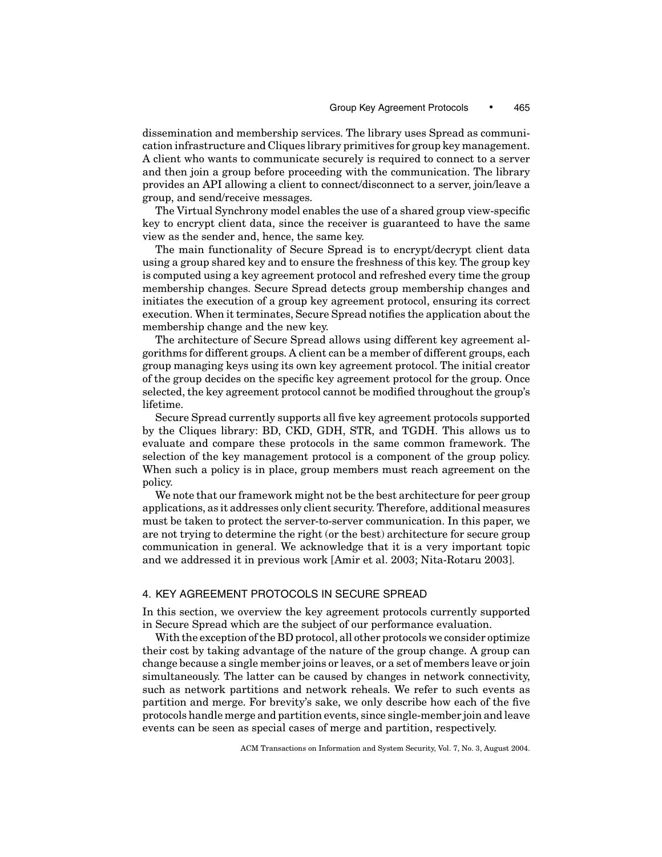dissemination and membership services. The library uses Spread as communication infrastructure and Cliques library primitives for group key management. A client who wants to communicate securely is required to connect to a server and then join a group before proceeding with the communication. The library provides an API allowing a client to connect/disconnect to a server, join/leave a group, and send/receive messages.

The Virtual Synchrony model enables the use of a shared group view-specific key to encrypt client data, since the receiver is guaranteed to have the same view as the sender and, hence, the same key.

The main functionality of Secure Spread is to encrypt/decrypt client data using a group shared key and to ensure the freshness of this key. The group key is computed using a key agreement protocol and refreshed every time the group membership changes. Secure Spread detects group membership changes and initiates the execution of a group key agreement protocol, ensuring its correct execution. When it terminates, Secure Spread notifies the application about the membership change and the new key.

The architecture of Secure Spread allows using different key agreement algorithms for different groups. A client can be a member of different groups, each group managing keys using its own key agreement protocol. The initial creator of the group decides on the specific key agreement protocol for the group. Once selected, the key agreement protocol cannot be modified throughout the group's lifetime.

Secure Spread currently supports all five key agreement protocols supported by the Cliques library: BD, CKD, GDH, STR, and TGDH. This allows us to evaluate and compare these protocols in the same common framework. The selection of the key management protocol is a component of the group policy. When such a policy is in place, group members must reach agreement on the policy.

We note that our framework might not be the best architecture for peer group applications, as it addresses only client security. Therefore, additional measures must be taken to protect the server-to-server communication. In this paper, we are not trying to determine the right (or the best) architecture for secure group communication in general. We acknowledge that it is a very important topic and we addressed it in previous work [Amir et al. 2003; Nita-Rotaru 2003].

# 4. KEY AGREEMENT PROTOCOLS IN SECURE SPREAD

In this section, we overview the key agreement protocols currently supported in Secure Spread which are the subject of our performance evaluation.

With the exception of the BD protocol, all other protocols we consider optimize their cost by taking advantage of the nature of the group change. A group can change because a single member joins or leaves, or a set of members leave or join simultaneously. The latter can be caused by changes in network connectivity, such as network partitions and network reheals. We refer to such events as partition and merge. For brevity's sake, we only describe how each of the five protocols handle merge and partition events, since single-member join and leave events can be seen as special cases of merge and partition, respectively.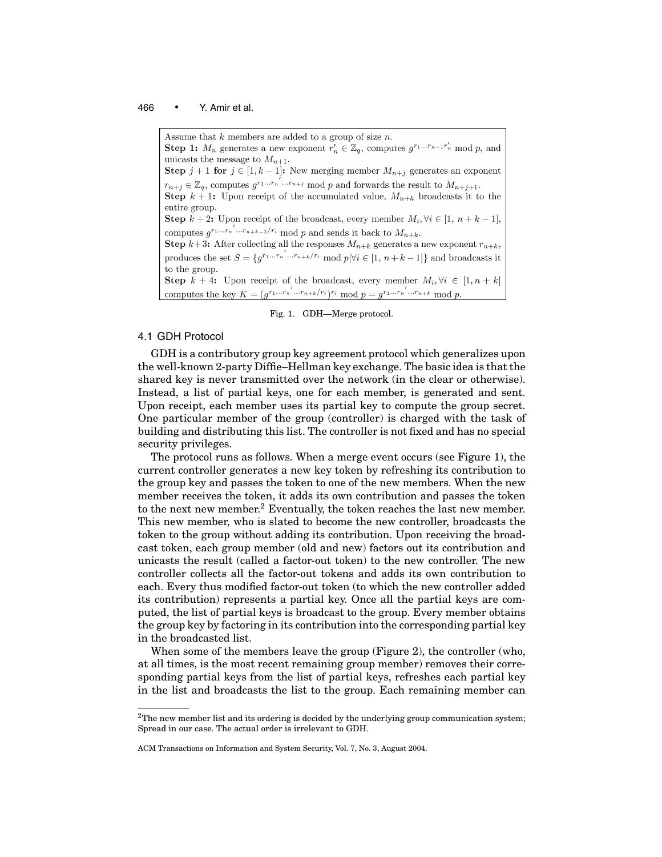Assume that  $k$  members are added to a group of size  $n$ . **Step 1:**  $M_n$  generates a new exponent  $r'_n \in \mathbb{Z}_q$ , computes  $g^{r_1...r_{n-1}r'_n}$  mod p, and unicasts the message to  $M_{n+1}$ . **Step**  $j + 1$  for  $j \in [1, k - 1]$ : New merging member  $M_{n+j}$  generates an exponent  $r_{n+j} \in \mathbb{Z}_q$ , computes  $g^{r_1...r_n}$  *'...*  $r_{n+j}$  mod  $p$  and forwards the result to  $M_{n+j+1}$ .<br>**Step**  $k+1$ : Upon receipt of the accumulated value,  $M_{n+k}$  broadcasts it to the entire group. **Step**  $k + 2$ : Upon receipt of the broadcast, every member  $M_i$ ,  $\forall i \in [1, n + k - 1]$ , computes  $g^{r_1...r_n}...r_{n+k-1}/r_i$  mod p and sends it back to  $M_{n+k}$ . **Step**  $k+3$ : After collecting all the responses  $M_{n+k}$  generates a new exponent  $r_{n+k}$ , produces the set  $S = \{q^{r_1...r_n} \cdots r_{n+k}/r_i \text{ mod } p | \forall i \in [1, n+k-1] \}$  and broadcasts it to the group. **Step**  $\vec{k} + 4$ : Upon receipt of the broadcast, every member  $M_i, \forall i \in [1, n+k]$ computes the key  $K = (q^{r_1...r_n} \cdots r_{n+k}/r_i) r_i \mod p = q^{r_1...r_n} \cdots r_{n+k} \mod p.$ 

#### Fig. 1. GDH—Merge protocol.

## 4.1 GDH Protocol

GDH is a contributory group key agreement protocol which generalizes upon the well-known 2-party Diffie–Hellman key exchange. The basic idea is that the shared key is never transmitted over the network (in the clear or otherwise). Instead, a list of partial keys, one for each member, is generated and sent. Upon receipt, each member uses its partial key to compute the group secret. One particular member of the group (controller) is charged with the task of building and distributing this list. The controller is not fixed and has no special security privileges.

The protocol runs as follows. When a merge event occurs (see Figure 1), the current controller generates a new key token by refreshing its contribution to the group key and passes the token to one of the new members. When the new member receives the token, it adds its own contribution and passes the token to the next new member.<sup>2</sup> Eventually, the token reaches the last new member. This new member, who is slated to become the new controller, broadcasts the token to the group without adding its contribution. Upon receiving the broadcast token, each group member (old and new) factors out its contribution and unicasts the result (called a factor-out token) to the new controller. The new controller collects all the factor-out tokens and adds its own contribution to each. Every thus modified factor-out token (to which the new controller added its contribution) represents a partial key. Once all the partial keys are computed, the list of partial keys is broadcast to the group. Every member obtains the group key by factoring in its contribution into the corresponding partial key in the broadcasted list.

When some of the members leave the group (Figure 2), the controller (who, at all times, is the most recent remaining group member) removes their corresponding partial keys from the list of partial keys, refreshes each partial key in the list and broadcasts the list to the group. Each remaining member can

<sup>&</sup>lt;sup>2</sup>The new member list and its ordering is decided by the underlying group communication system; Spread in our case. The actual order is irrelevant to GDH.

ACM Transactions on Information and System Security, Vol. 7, No. 3, August 2004.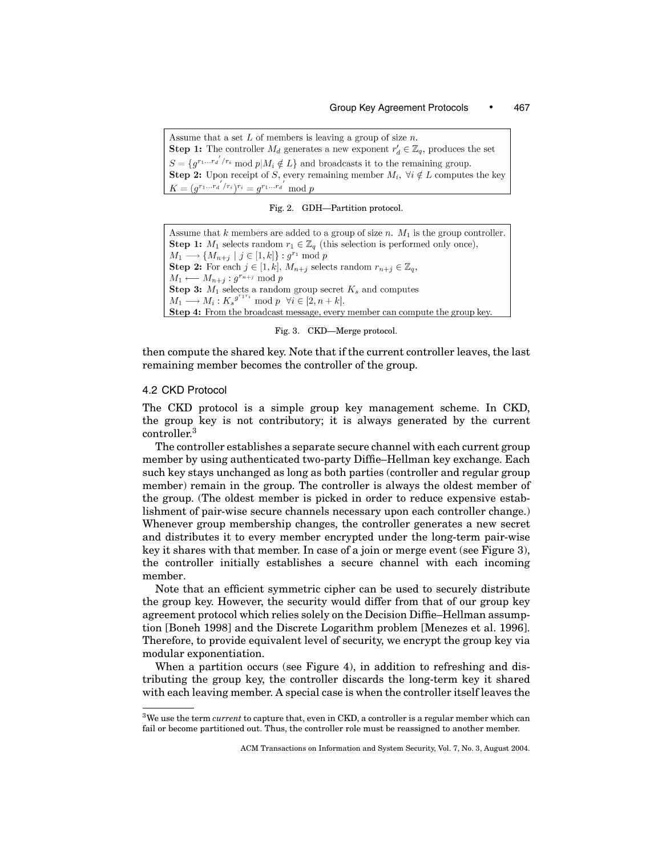Assume that a set  $L$  of members is leaving a group of size  $n$ . **Step 1:** The controller  $M_d$  generates a new exponent  $r'_d \in \mathbb{Z}_q$ , produces the set  $S = \{q^{r_1...r_d}/r_i \mod p | M_i \notin L\}$  and broadcasts it to the remaining group. **Step 2:** Upon receipt of S, every remaining member  $M_i$ ,  $\forall i \notin L$  computes the key  $K = (q^{r_1...r_d'/r_i})^{r_i} = q^{r_1...r_d'} \mod p$ 

Fig. 2. GDH—Partition protocol.

Assume that  $k$  members are added to a group of size  $n$ .  $M_1$  is the group controller. **Step 1:**  $M_1$  selects random  $r_1 \in \mathbb{Z}_q$  (this selection is performed only once),  $M_1 \longrightarrow \{M_{n+j} \mid j \in [1, k]\} : g^{r_1} \mod p$ **Step 2:** For each  $j \in [1, k]$ ,  $M_{n+j}$  selects random  $r_{n+j} \in \mathbb{Z}_q$ ,  $M_1 \longleftarrow M_{n+j} : g^{r_{n+j}} \bmod p$ **Step 3:**  $M_1$  selects a random group secret  $K_s$  and computes  $M_1 \longrightarrow M_i : K_s^{g^{r_1 r_i}} \mod p \ \ \forall i \in [2, n+k].$ Step 4: From the broadcast message, every member can compute the group key.

#### Fig. 3. CKD—Merge protocol.

then compute the shared key. Note that if the current controller leaves, the last remaining member becomes the controller of the group.

## 4.2 CKD Protocol

The CKD protocol is a simple group key management scheme. In CKD, the group key is not contributory; it is always generated by the current controller.3

The controller establishes a separate secure channel with each current group member by using authenticated two-party Diffie–Hellman key exchange. Each such key stays unchanged as long as both parties (controller and regular group member) remain in the group. The controller is always the oldest member of the group. (The oldest member is picked in order to reduce expensive establishment of pair-wise secure channels necessary upon each controller change.) Whenever group membership changes, the controller generates a new secret and distributes it to every member encrypted under the long-term pair-wise key it shares with that member. In case of a join or merge event (see Figure 3), the controller initially establishes a secure channel with each incoming member.

Note that an efficient symmetric cipher can be used to securely distribute the group key. However, the security would differ from that of our group key agreement protocol which relies solely on the Decision Diffie–Hellman assumption [Boneh 1998] and the Discrete Logarithm problem [Menezes et al. 1996]. Therefore, to provide equivalent level of security, we encrypt the group key via modular exponentiation.

When a partition occurs (see Figure 4), in addition to refreshing and distributing the group key, the controller discards the long-term key it shared with each leaving member. A special case is when the controller itself leaves the

<sup>3</sup>We use the term *current* to capture that, even in CKD, a controller is a regular member which can fail or become partitioned out. Thus, the controller role must be reassigned to another member.

ACM Transactions on Information and System Security, Vol. 7, No. 3, August 2004.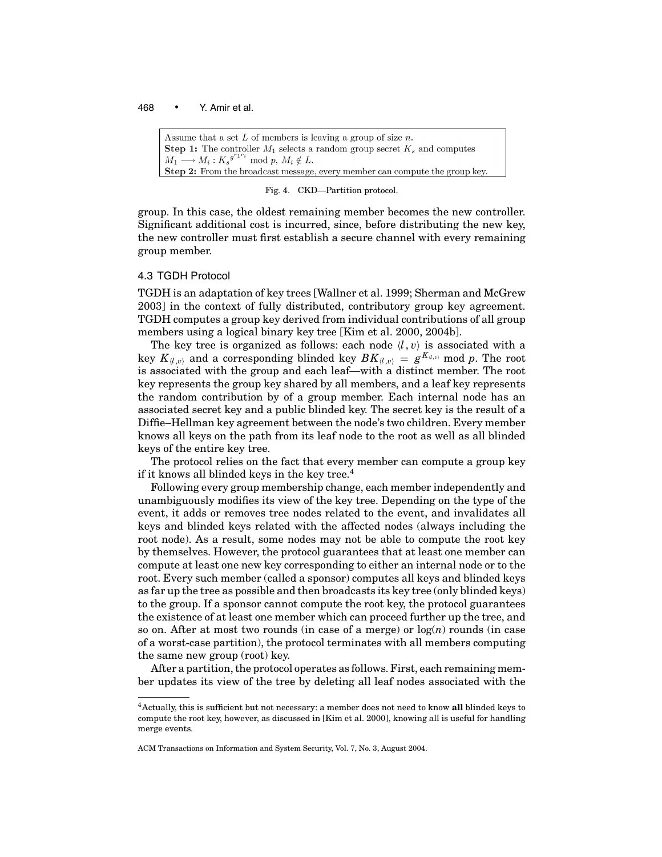Assume that a set  $L$  of members is leaving a group of size  $n$ . **Step 1:** The controller  $M_1$  selects a random group secret  $K_s$  and computes  $M_1 \longrightarrow M_i: K_s^{g^{r_1 r_i}} \bmod p, M_i \notin L.$ Step 2: From the broadcast message, every member can compute the group key.

Fig. 4. CKD—Partition protocol.

group. In this case, the oldest remaining member becomes the new controller. Significant additional cost is incurred, since, before distributing the new key, the new controller must first establish a secure channel with every remaining group member.

#### 4.3 TGDH Protocol

TGDH is an adaptation of key trees [Wallner et al. 1999; Sherman and McGrew 2003] in the context of fully distributed, contributory group key agreement. TGDH computes a group key derived from individual contributions of all group members using a logical binary key tree [Kim et al. 2000, 2004b].

The key tree is organized as follows: each node  $\langle l, v \rangle$  is associated with a key  $K_{(l,v)}$  and a corresponding blinded key  $BK_{(l,v)} = g^{K_{(l,v)}}$  mod *p*. The root is associated with the group and each leaf—with a distinct member. The root key represents the group key shared by all members, and a leaf key represents the random contribution by of a group member. Each internal node has an associated secret key and a public blinded key. The secret key is the result of a Diffie–Hellman key agreement between the node's two children. Every member knows all keys on the path from its leaf node to the root as well as all blinded keys of the entire key tree.

The protocol relies on the fact that every member can compute a group key if it knows all blinded keys in the key tree.<sup>4</sup>

Following every group membership change, each member independently and unambiguously modifies its view of the key tree. Depending on the type of the event, it adds or removes tree nodes related to the event, and invalidates all keys and blinded keys related with the affected nodes (always including the root node). As a result, some nodes may not be able to compute the root key by themselves. However, the protocol guarantees that at least one member can compute at least one new key corresponding to either an internal node or to the root. Every such member (called a sponsor) computes all keys and blinded keys as far up the tree as possible and then broadcasts its key tree (only blinded keys) to the group. If a sponsor cannot compute the root key, the protocol guarantees the existence of at least one member which can proceed further up the tree, and so on. After at most two rounds (in case of a merge) or log(*n*) rounds (in case of a worst-case partition), the protocol terminates with all members computing the same new group (root) key.

After a partition, the protocol operates as follows. First, each remaining member updates its view of the tree by deleting all leaf nodes associated with the

<sup>4</sup>Actually, this is sufficient but not necessary: a member does not need to know **all** blinded keys to compute the root key, however, as discussed in [Kim et al. 2000], knowing all is useful for handling merge events.

ACM Transactions on Information and System Security, Vol. 7, No. 3, August 2004.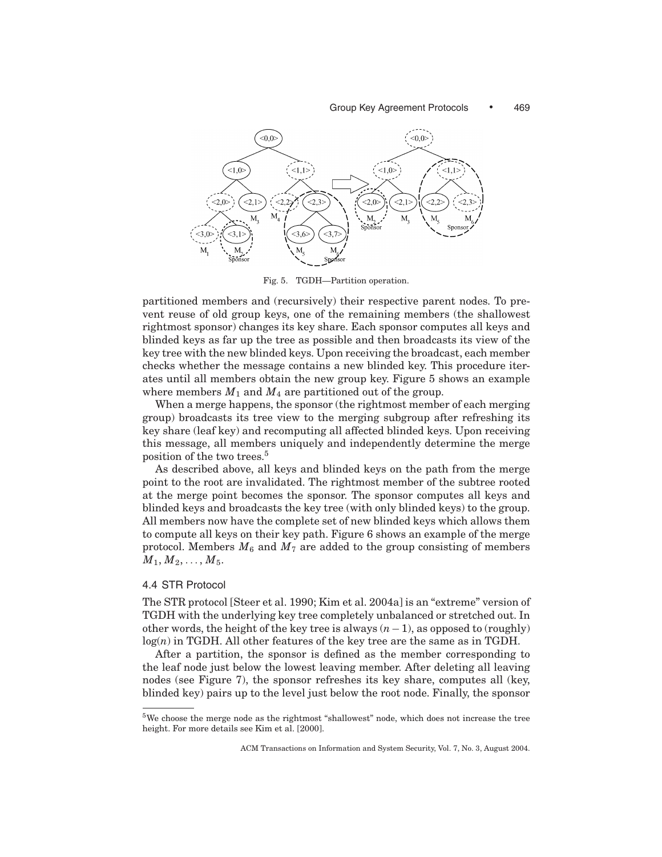#### Group Key Agreement Protocols • 469



Fig. 5. TGDH—Partition operation.

partitioned members and (recursively) their respective parent nodes. To prevent reuse of old group keys, one of the remaining members (the shallowest rightmost sponsor) changes its key share. Each sponsor computes all keys and blinded keys as far up the tree as possible and then broadcasts its view of the key tree with the new blinded keys. Upon receiving the broadcast, each member checks whether the message contains a new blinded key. This procedure iterates until all members obtain the new group key. Figure 5 shows an example where members  $M_1$  and  $M_4$  are partitioned out of the group.

When a merge happens, the sponsor (the rightmost member of each merging group) broadcasts its tree view to the merging subgroup after refreshing its key share (leaf key) and recomputing all affected blinded keys. Upon receiving this message, all members uniquely and independently determine the merge position of the two trees.5

As described above, all keys and blinded keys on the path from the merge point to the root are invalidated. The rightmost member of the subtree rooted at the merge point becomes the sponsor. The sponsor computes all keys and blinded keys and broadcasts the key tree (with only blinded keys) to the group. All members now have the complete set of new blinded keys which allows them to compute all keys on their key path. Figure 6 shows an example of the merge protocol. Members  $M_6$  and  $M_7$  are added to the group consisting of members  $M_1, M_2, \ldots, M_5$ .

# 4.4 STR Protocol

The STR protocol [Steer et al. 1990; Kim et al. 2004a] is an "extreme" version of TGDH with the underlying key tree completely unbalanced or stretched out. In other words, the height of the key tree is always (*n*−1), as opposed to (roughly) log(*n*) in TGDH. All other features of the key tree are the same as in TGDH.

After a partition, the sponsor is defined as the member corresponding to the leaf node just below the lowest leaving member. After deleting all leaving nodes (see Figure 7), the sponsor refreshes its key share, computes all (key, blinded key) pairs up to the level just below the root node. Finally, the sponsor

<sup>&</sup>lt;sup>5</sup>We choose the merge node as the rightmost "shallowest" node, which does not increase the tree height. For more details see Kim et al. [2000].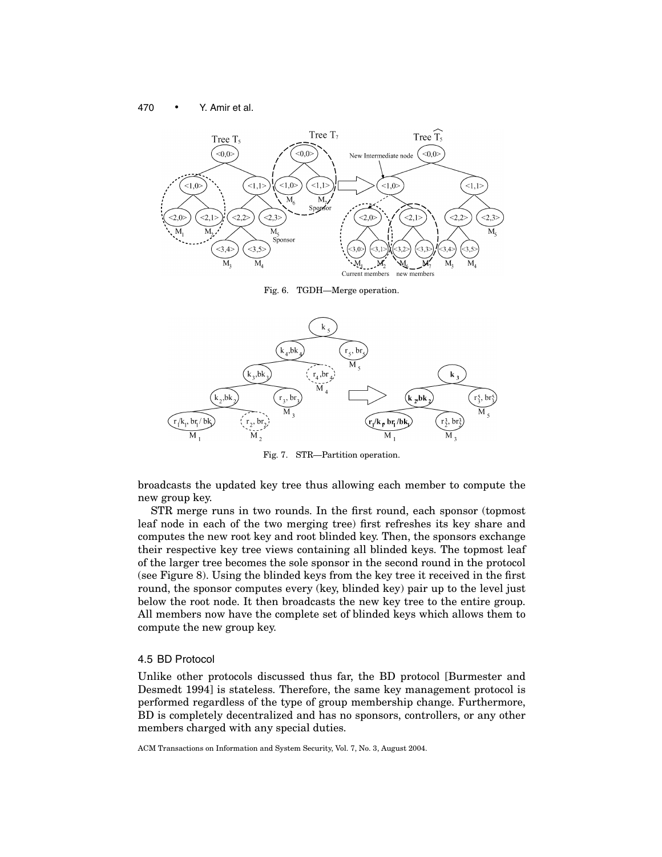

Fig. 6. TGDH—Merge operation.



Fig. 7. STR—Partition operation.

broadcasts the updated key tree thus allowing each member to compute the new group key.

STR merge runs in two rounds. In the first round, each sponsor (topmost leaf node in each of the two merging tree) first refreshes its key share and computes the new root key and root blinded key. Then, the sponsors exchange their respective key tree views containing all blinded keys. The topmost leaf of the larger tree becomes the sole sponsor in the second round in the protocol (see Figure 8). Using the blinded keys from the key tree it received in the first round, the sponsor computes every (key, blinded key) pair up to the level just below the root node. It then broadcasts the new key tree to the entire group. All members now have the complete set of blinded keys which allows them to compute the new group key.

# 4.5 BD Protocol

Unlike other protocols discussed thus far, the BD protocol [Burmester and Desmedt 1994] is stateless. Therefore, the same key management protocol is performed regardless of the type of group membership change. Furthermore, BD is completely decentralized and has no sponsors, controllers, or any other members charged with any special duties.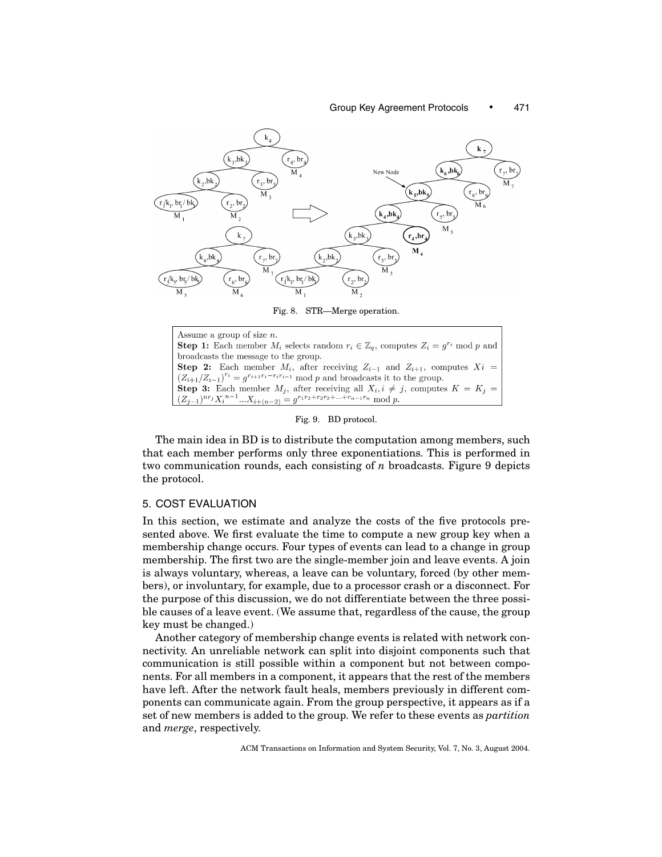#### Group Key Agreement Protocols • 471



Fig. 8. STR—Merge operation.

| Assume a group of size $n$ .                                                                                 |  |  |  |  |  |
|--------------------------------------------------------------------------------------------------------------|--|--|--|--|--|
| <b>Step 1:</b> Each member $M_i$ selects random $r_i \in \mathbb{Z}_q$ , computes $Z_i = g^{r_i} \mod p$ and |  |  |  |  |  |
| broadcasts the message to the group.                                                                         |  |  |  |  |  |
| <b>Step 2:</b> Each member $M_i$ , after receiving $Z_{i-1}$ and $Z_{i+1}$ , computes $Xi =$                 |  |  |  |  |  |
| $(Z_{i+1}/Z_{i-1})^{r_i} = g^{r_{i+1}r_i - r_i r_{i-1}}$ mod p and broadcasts it to the group.               |  |  |  |  |  |
| <b>Step 3:</b> Each member $M_i$ , after receiving all $X_i, i \neq j$ , computes $K = K_i$                  |  |  |  |  |  |
| $(Z_{j-1})^{nr_j} X_i^{n-1}  X_{i+(n-2)} = g^{r_1r_2+r_2r_3++r_{n-1}r_n} \text{ mod } p.$                    |  |  |  |  |  |

#### Fig. 9. BD protocol.

The main idea in BD is to distribute the computation among members, such that each member performs only three exponentiations. This is performed in two communication rounds, each consisting of *n* broadcasts. Figure 9 depicts the protocol.

# 5. COST EVALUATION

In this section, we estimate and analyze the costs of the five protocols presented above. We first evaluate the time to compute a new group key when a membership change occurs. Four types of events can lead to a change in group membership. The first two are the single-member join and leave events. A join is always voluntary, whereas, a leave can be voluntary, forced (by other members), or involuntary, for example, due to a processor crash or a disconnect. For the purpose of this discussion, we do not differentiate between the three possible causes of a leave event. (We assume that, regardless of the cause, the group key must be changed.)

Another category of membership change events is related with network connectivity. An unreliable network can split into disjoint components such that communication is still possible within a component but not between components. For all members in a component, it appears that the rest of the members have left. After the network fault heals, members previously in different components can communicate again. From the group perspective, it appears as if a set of new members is added to the group. We refer to these events as *partition* and *merge*, respectively.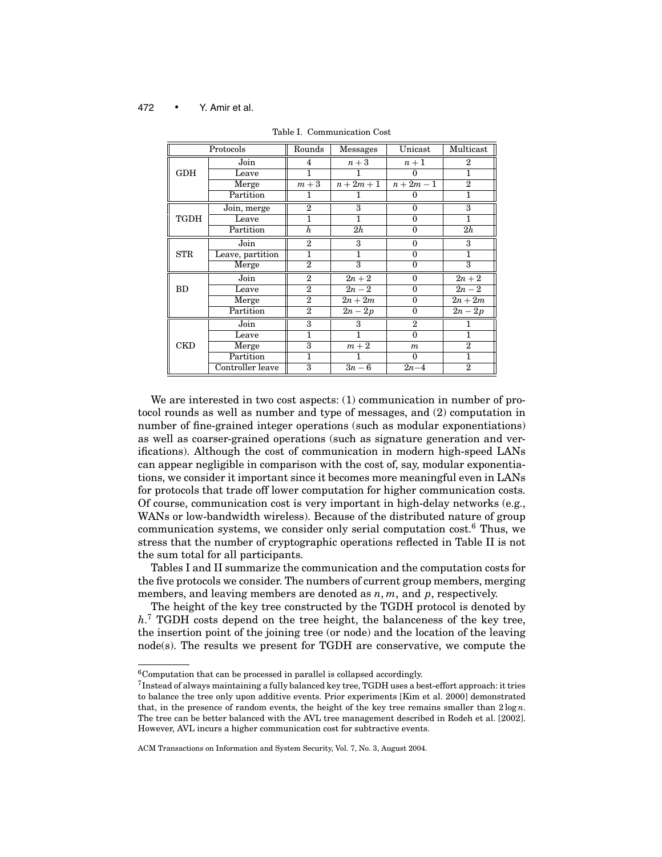| Protocols  |                  | Rounds         | Messages          | Unicast          | Multicast      |
|------------|------------------|----------------|-------------------|------------------|----------------|
|            | Join             | 4              | $n+3$             | $n+1$            | $\overline{2}$ |
| <b>GDH</b> | Leave            |                |                   |                  | $\mathbf{1}$   |
|            | Merge            | $m+3$          | $n + 2m + 1$      | $n + 2m - 1$     | $\overline{2}$ |
|            | Partition        |                |                   |                  | 1              |
|            | Join, merge      | $\overline{2}$ | 3                 | $\theta$         | 3              |
| TGDH       | Leave            | 1              | 1                 | $\Omega$         | $\mathbf{1}$   |
|            | Partition        | $\overline{h}$ | $\overline{2h}$   | $\theta$         | 2h             |
|            | Join             | $\overline{2}$ | 3                 | $\theta$         | 3              |
| <b>STR</b> | Leave, partition | 1              | 1                 | $\theta$         | 1              |
|            | Merge            | $\overline{2}$ | 3                 | $\boldsymbol{0}$ | 3              |
| <b>BD</b>  | Join             | $\overline{2}$ | $2n+2$            | $\theta$         | $2n+2$         |
|            | Leave            | $\overline{2}$ | $\overline{2n-2}$ | $\theta$         | $2n-2$         |
|            | Merge            | $\mathbf{2}$   | $2n+2m$           | $\theta$         | $2n+2m$        |
|            | Partition        | $\overline{2}$ | $2n-2p$           | $\theta$         | $2n-2p$        |
|            | Join             | 3              | 3                 | $\overline{2}$   | 1              |
|            | Leave            | 1              |                   | $\theta$         | 1              |
| <b>CKD</b> | Merge            | 3              | $m+\overline{2}$  | $\boldsymbol{m}$ | $\overline{2}$ |
|            | Partition        | 1              |                   | $\Omega$         | 1              |
|            | Controller leave | 3              | $3n-6$            | $2n-4$           | $\overline{2}$ |

Table I. Communication Cost

We are interested in two cost aspects: (1) communication in number of protocol rounds as well as number and type of messages, and (2) computation in number of fine-grained integer operations (such as modular exponentiations) as well as coarser-grained operations (such as signature generation and verifications). Although the cost of communication in modern high-speed LANs can appear negligible in comparison with the cost of, say, modular exponentiations, we consider it important since it becomes more meaningful even in LANs for protocols that trade off lower computation for higher communication costs. Of course, communication cost is very important in high-delay networks (e.g., WANs or low-bandwidth wireless). Because of the distributed nature of group communication systems, we consider only serial computation cost.6 Thus, we stress that the number of cryptographic operations reflected in Table II is not the sum total for all participants.

Tables I and II summarize the communication and the computation costs for the five protocols we consider. The numbers of current group members, merging members, and leaving members are denoted as *n*, *m*, and *p*, respectively.

The height of the key tree constructed by the TGDH protocol is denoted by *h*. <sup>7</sup> TGDH costs depend on the tree height, the balanceness of the key tree, the insertion point of the joining tree (or node) and the location of the leaving node(s). The results we present for TGDH are conservative, we compute the

 $6$ Computation that can be processed in parallel is collapsed accordingly.

<sup>7</sup>Instead of always maintaining a fully balanced key tree, TGDH uses a best-effort approach: it tries to balance the tree only upon additive events. Prior experiments [Kim et al. 2000] demonstrated that, in the presence of random events, the height of the key tree remains smaller than  $2 \log n$ . The tree can be better balanced with the AVL tree management described in Rodeh et al. [2002]. However, AVL incurs a higher communication cost for subtractive events.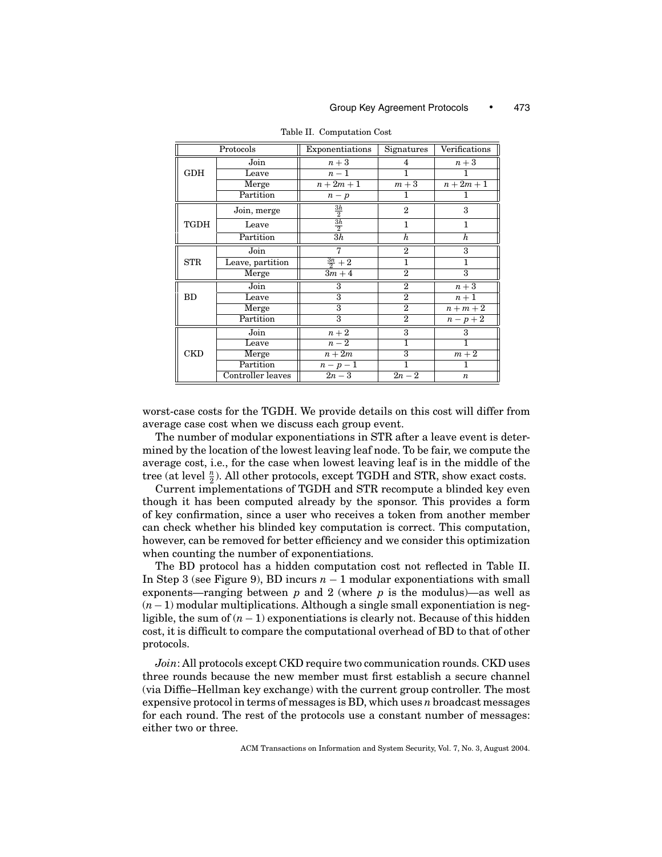| Protocols   |                   | Exponentiations | Signatures     | Verifications    |
|-------------|-------------------|-----------------|----------------|------------------|
|             | Join              | $n+3$           | 4              | $n+3$            |
| <b>GDH</b>  | Leave             | $n-1$           |                |                  |
|             | Merge             | $n + 2m + 1$    | $m+3$          | $n + 2m + 1$     |
|             | Partition         | $n-p$           |                |                  |
|             | Join, merge       | $\frac{3h}{2}$  | $\overline{2}$ | 3                |
| <b>TGDH</b> | Leave             | $\frac{3h}{2}$  | 1              | 1                |
|             | Partition         | 3h              | $\overline{h}$ | $\overline{h}$   |
|             | Join              | 7               | $\overline{2}$ | 3                |
| <b>STR</b>  | Leave, partition  | $rac{3n}{2}+2$  | 1              | 1                |
|             | Merge             | $3m+4$          | $\overline{2}$ | 3                |
| <b>BD</b>   | Join              | 3               | $\overline{2}$ | $n+3$            |
|             | Leave             | 3               | $\overline{2}$ | $n+1$            |
|             | Merge             | 3               | 2              | $n+m+2$          |
|             | Partition         | 3               | $\overline{2}$ | $n-p+2$          |
| <b>CKD</b>  | Join              | $n+2$           | 3              | 3                |
|             | Leave             | $n-2$           |                | 1                |
|             | Merge             | $n+2m$          | 3              | $m+2$            |
|             | Partition         | $n-p-1$         |                | 1                |
|             | Controller leaves | $2n-3$          | $2n-2$         | $\boldsymbol{n}$ |

Table II. Computation Cost

worst-case costs for the TGDH. We provide details on this cost will differ from average case cost when we discuss each group event.

The number of modular exponentiations in STR after a leave event is determined by the location of the lowest leaving leaf node. To be fair, we compute the average cost, i.e., for the case when lowest leaving leaf is in the middle of the tree (at level  $\frac{n}{2}$ ). All other protocols, except TGDH and STR, show exact costs.

Current implementations of TGDH and STR recompute a blinded key even though it has been computed already by the sponsor. This provides a form of key confirmation, since a user who receives a token from another member can check whether his blinded key computation is correct. This computation, however, can be removed for better efficiency and we consider this optimization when counting the number of exponentiations.

The BD protocol has a hidden computation cost not reflected in Table II. In Step 3 (see Figure 9), BD incurs *n* − 1 modular exponentiations with small exponents—ranging between *p* and 2 (where *p* is the modulus)—as well as (*n*−1) modular multiplications. Although a single small exponentiation is negligible, the sum of  $(n - 1)$  exponentiations is clearly not. Because of this hidden cost, it is difficult to compare the computational overhead of BD to that of other protocols.

*Join*: All protocols except CKD require two communication rounds. CKD uses three rounds because the new member must first establish a secure channel (via Diffie–Hellman key exchange) with the current group controller. The most expensive protocol in terms of messages is BD, which uses *n* broadcast messages for each round. The rest of the protocols use a constant number of messages: either two or three.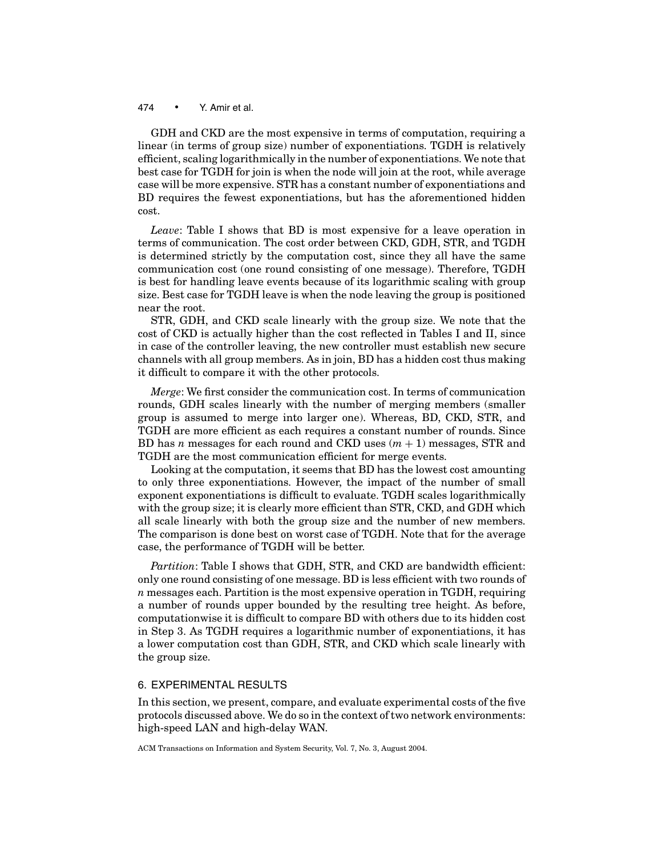GDH and CKD are the most expensive in terms of computation, requiring a linear (in terms of group size) number of exponentiations. TGDH is relatively efficient, scaling logarithmically in the number of exponentiations. We note that best case for TGDH for join is when the node will join at the root, while average case will be more expensive. STR has a constant number of exponentiations and BD requires the fewest exponentiations, but has the aforementioned hidden cost.

*Leave*: Table I shows that BD is most expensive for a leave operation in terms of communication. The cost order between CKD, GDH, STR, and TGDH is determined strictly by the computation cost, since they all have the same communication cost (one round consisting of one message). Therefore, TGDH is best for handling leave events because of its logarithmic scaling with group size. Best case for TGDH leave is when the node leaving the group is positioned near the root.

STR, GDH, and CKD scale linearly with the group size. We note that the cost of CKD is actually higher than the cost reflected in Tables I and II, since in case of the controller leaving, the new controller must establish new secure channels with all group members. As in join, BD has a hidden cost thus making it difficult to compare it with the other protocols.

*Merge*: We first consider the communication cost. In terms of communication rounds, GDH scales linearly with the number of merging members (smaller group is assumed to merge into larger one). Whereas, BD, CKD, STR, and TGDH are more efficient as each requires a constant number of rounds. Since BD has *n* messages for each round and CKD uses (*m* + 1) messages, STR and TGDH are the most communication efficient for merge events.

Looking at the computation, it seems that BD has the lowest cost amounting to only three exponentiations. However, the impact of the number of small exponent exponentiations is difficult to evaluate. TGDH scales logarithmically with the group size; it is clearly more efficient than STR, CKD, and GDH which all scale linearly with both the group size and the number of new members. The comparison is done best on worst case of TGDH. Note that for the average case, the performance of TGDH will be better.

*Partition*: Table I shows that GDH, STR, and CKD are bandwidth efficient: only one round consisting of one message. BD is less efficient with two rounds of *n* messages each. Partition is the most expensive operation in TGDH, requiring a number of rounds upper bounded by the resulting tree height. As before, computationwise it is difficult to compare BD with others due to its hidden cost in Step 3. As TGDH requires a logarithmic number of exponentiations, it has a lower computation cost than GDH, STR, and CKD which scale linearly with the group size.

## 6. EXPERIMENTAL RESULTS

In this section, we present, compare, and evaluate experimental costs of the five protocols discussed above. We do so in the context of two network environments: high-speed LAN and high-delay WAN.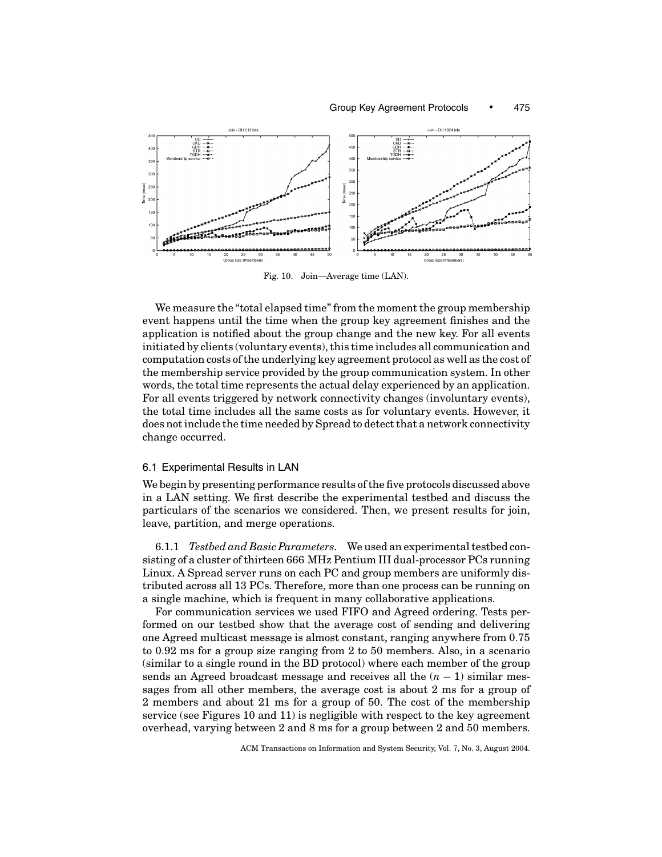#### Group Key Agreement Protocols • 475



Fig. 10. Join—Average time (LAN).

We measure the "total elapsed time" from the moment the group membership event happens until the time when the group key agreement finishes and the application is notified about the group change and the new key. For all events initiated by clients (voluntary events), this time includes all communication and computation costs of the underlying key agreement protocol as well as the cost of the membership service provided by the group communication system. In other words, the total time represents the actual delay experienced by an application. For all events triggered by network connectivity changes (involuntary events), the total time includes all the same costs as for voluntary events. However, it does not include the time needed by Spread to detect that a network connectivity change occurred.

#### 6.1 Experimental Results in LAN

We begin by presenting performance results of the five protocols discussed above in a LAN setting. We first describe the experimental testbed and discuss the particulars of the scenarios we considered. Then, we present results for join, leave, partition, and merge operations.

6.1.1 *Testbed and Basic Parameters.* We used an experimental testbed consisting of a cluster of thirteen 666 MHz Pentium III dual-processor PCs running Linux. A Spread server runs on each PC and group members are uniformly distributed across all 13 PCs. Therefore, more than one process can be running on a single machine, which is frequent in many collaborative applications.

For communication services we used FIFO and Agreed ordering. Tests performed on our testbed show that the average cost of sending and delivering one Agreed multicast message is almost constant, ranging anywhere from 0.75 to 0.92 ms for a group size ranging from 2 to 50 members. Also, in a scenario (similar to a single round in the BD protocol) where each member of the group sends an Agreed broadcast message and receives all the (*n* − 1) similar messages from all other members, the average cost is about 2 ms for a group of 2 members and about 21 ms for a group of 50. The cost of the membership service (see Figures 10 and 11) is negligible with respect to the key agreement overhead, varying between 2 and 8 ms for a group between 2 and 50 members.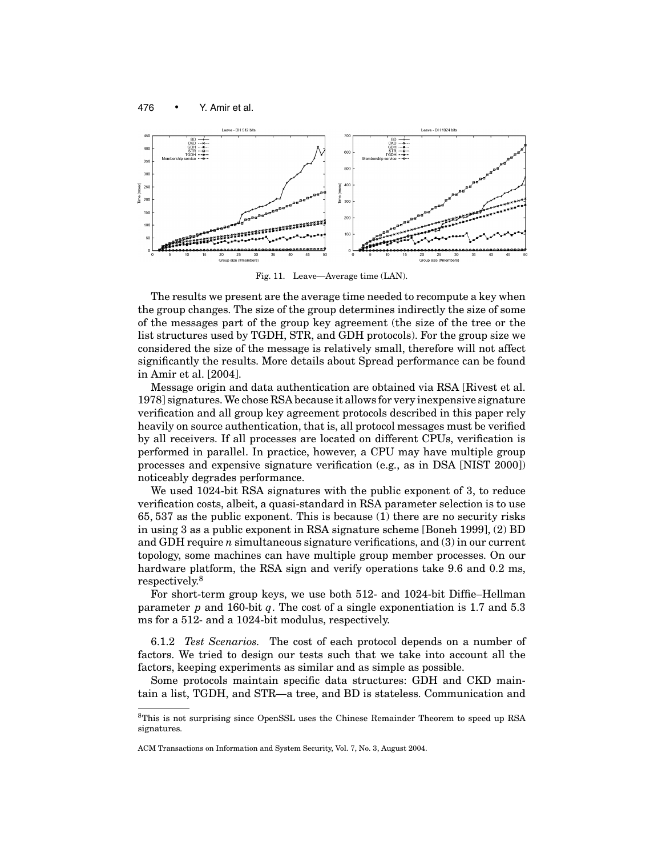

Fig. 11. Leave—Average time (LAN).

The results we present are the average time needed to recompute a key when the group changes. The size of the group determines indirectly the size of some of the messages part of the group key agreement (the size of the tree or the list structures used by TGDH, STR, and GDH protocols). For the group size we considered the size of the message is relatively small, therefore will not affect significantly the results. More details about Spread performance can be found in Amir et al. [2004].

Message origin and data authentication are obtained via RSA [Rivest et al. 1978] signatures. We chose RSA because it allows for very inexpensive signature verification and all group key agreement protocols described in this paper rely heavily on source authentication, that is, all protocol messages must be verified by all receivers. If all processes are located on different CPUs, verification is performed in parallel. In practice, however, a CPU may have multiple group processes and expensive signature verification (e.g., as in DSA [NIST 2000]) noticeably degrades performance.

We used 1024-bit RSA signatures with the public exponent of 3, to reduce verification costs, albeit, a quasi-standard in RSA parameter selection is to use 65, 537 as the public exponent. This is because (1) there are no security risks in using 3 as a public exponent in RSA signature scheme [Boneh 1999], (2) BD and GDH require *n* simultaneous signature verifications, and (3) in our current topology, some machines can have multiple group member processes. On our hardware platform, the RSA sign and verify operations take 9.6 and 0.2 ms, respectively.8

For short-term group keys, we use both 512- and 1024-bit Diffie–Hellman parameter *p* and 160-bit *q*. The cost of a single exponentiation is 1.7 and 5.3 ms for a 512- and a 1024-bit modulus, respectively.

6.1.2 *Test Scenarios.* The cost of each protocol depends on a number of factors. We tried to design our tests such that we take into account all the factors, keeping experiments as similar and as simple as possible.

Some protocols maintain specific data structures: GDH and CKD maintain a list, TGDH, and STR—a tree, and BD is stateless. Communication and

<sup>8</sup>This is not surprising since OpenSSL uses the Chinese Remainder Theorem to speed up RSA signatures.

ACM Transactions on Information and System Security, Vol. 7, No. 3, August 2004.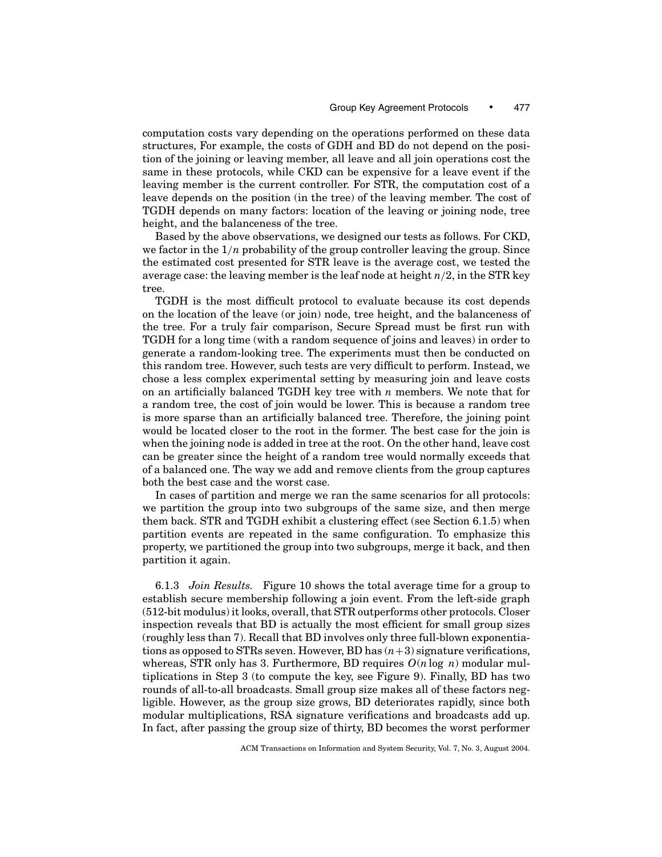computation costs vary depending on the operations performed on these data structures, For example, the costs of GDH and BD do not depend on the position of the joining or leaving member, all leave and all join operations cost the same in these protocols, while CKD can be expensive for a leave event if the leaving member is the current controller. For STR, the computation cost of a leave depends on the position (in the tree) of the leaving member. The cost of TGDH depends on many factors: location of the leaving or joining node, tree height, and the balanceness of the tree.

Based by the above observations, we designed our tests as follows. For CKD, we factor in the  $1/n$  probability of the group controller leaving the group. Since the estimated cost presented for STR leave is the average cost, we tested the average case: the leaving member is the leaf node at height *n*/2, in the STR key tree.

TGDH is the most difficult protocol to evaluate because its cost depends on the location of the leave (or join) node, tree height, and the balanceness of the tree. For a truly fair comparison, Secure Spread must be first run with TGDH for a long time (with a random sequence of joins and leaves) in order to generate a random-looking tree. The experiments must then be conducted on this random tree. However, such tests are very difficult to perform. Instead, we chose a less complex experimental setting by measuring join and leave costs on an artificially balanced TGDH key tree with *n* members. We note that for a random tree, the cost of join would be lower. This is because a random tree is more sparse than an artificially balanced tree. Therefore, the joining point would be located closer to the root in the former. The best case for the join is when the joining node is added in tree at the root. On the other hand, leave cost can be greater since the height of a random tree would normally exceeds that of a balanced one. The way we add and remove clients from the group captures both the best case and the worst case.

In cases of partition and merge we ran the same scenarios for all protocols: we partition the group into two subgroups of the same size, and then merge them back. STR and TGDH exhibit a clustering effect (see Section 6.1.5) when partition events are repeated in the same configuration. To emphasize this property, we partitioned the group into two subgroups, merge it back, and then partition it again.

6.1.3 *Join Results.* Figure 10 shows the total average time for a group to establish secure membership following a join event. From the left-side graph (512-bit modulus) it looks, overall, that STR outperforms other protocols. Closer inspection reveals that BD is actually the most efficient for small group sizes (roughly less than 7). Recall that BD involves only three full-blown exponentiations as opposed to STRs seven. However, BD has  $(n+3)$  signature verifications, whereas, STR only has 3. Furthermore, BD requires  $O(n \log n)$  modular multiplications in Step 3 (to compute the key, see Figure 9). Finally, BD has two rounds of all-to-all broadcasts. Small group size makes all of these factors negligible. However, as the group size grows, BD deteriorates rapidly, since both modular multiplications, RSA signature verifications and broadcasts add up. In fact, after passing the group size of thirty, BD becomes the worst performer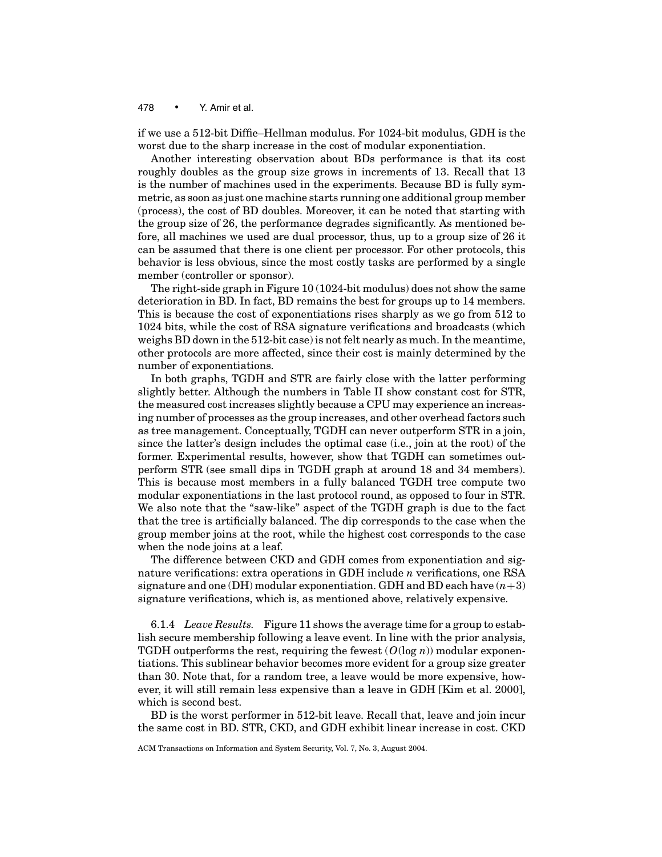if we use a 512-bit Diffie–Hellman modulus. For 1024-bit modulus, GDH is the worst due to the sharp increase in the cost of modular exponentiation.

Another interesting observation about BDs performance is that its cost roughly doubles as the group size grows in increments of 13. Recall that 13 is the number of machines used in the experiments. Because BD is fully symmetric, as soon as just one machine starts running one additional group member (process), the cost of BD doubles. Moreover, it can be noted that starting with the group size of 26, the performance degrades significantly. As mentioned before, all machines we used are dual processor, thus, up to a group size of 26 it can be assumed that there is one client per processor. For other protocols, this behavior is less obvious, since the most costly tasks are performed by a single member (controller or sponsor).

The right-side graph in Figure 10 (1024-bit modulus) does not show the same deterioration in BD. In fact, BD remains the best for groups up to 14 members. This is because the cost of exponentiations rises sharply as we go from 512 to 1024 bits, while the cost of RSA signature verifications and broadcasts (which weighs BD down in the 512-bit case) is not felt nearly as much. In the meantime, other protocols are more affected, since their cost is mainly determined by the number of exponentiations.

In both graphs, TGDH and STR are fairly close with the latter performing slightly better. Although the numbers in Table II show constant cost for STR, the measured cost increases slightly because a CPU may experience an increasing number of processes as the group increases, and other overhead factors such as tree management. Conceptually, TGDH can never outperform STR in a join, since the latter's design includes the optimal case (i.e., join at the root) of the former. Experimental results, however, show that TGDH can sometimes outperform STR (see small dips in TGDH graph at around 18 and 34 members). This is because most members in a fully balanced TGDH tree compute two modular exponentiations in the last protocol round, as opposed to four in STR. We also note that the "saw-like" aspect of the TGDH graph is due to the fact that the tree is artificially balanced. The dip corresponds to the case when the group member joins at the root, while the highest cost corresponds to the case when the node joins at a leaf.

The difference between CKD and GDH comes from exponentiation and signature verifications: extra operations in GDH include *n* verifications, one RSA signature and one (DH) modular exponentiation. GDH and BD each have  $(n+3)$ signature verifications, which is, as mentioned above, relatively expensive.

6.1.4 *Leave Results.* Figure 11 shows the average time for a group to establish secure membership following a leave event. In line with the prior analysis, TGDH outperforms the rest, requiring the fewest  $(O(\log n))$  modular exponentiations. This sublinear behavior becomes more evident for a group size greater than 30. Note that, for a random tree, a leave would be more expensive, however, it will still remain less expensive than a leave in GDH [Kim et al. 2000], which is second best.

BD is the worst performer in 512-bit leave. Recall that, leave and join incur the same cost in BD. STR, CKD, and GDH exhibit linear increase in cost. CKD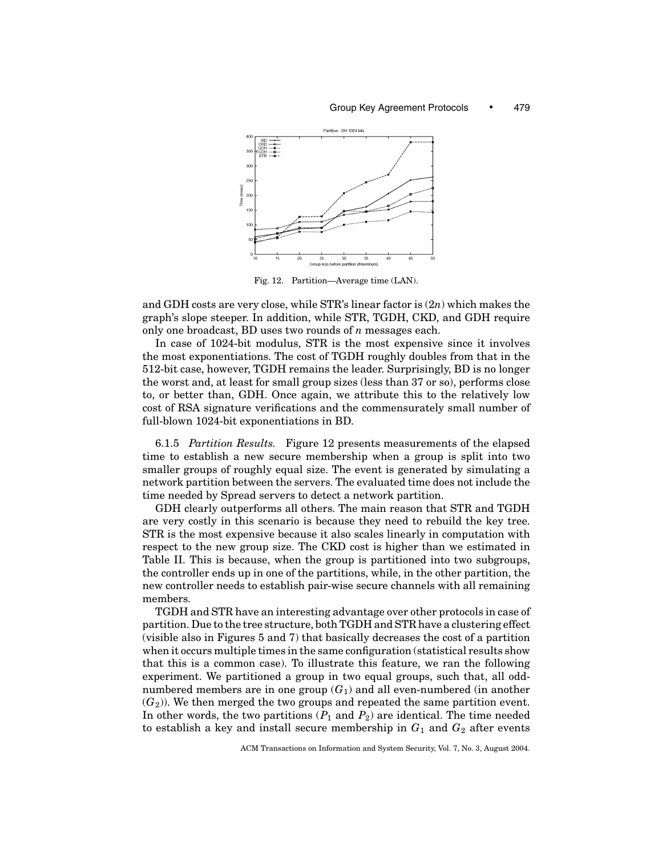#### Group Key Agreement Protocols • 479



Fig. 12. Partition—Average time (LAN).

and GDH costs are very close, while STR's linear factor is (2*n*) which makes the graph's slope steeper. In addition, while STR, TGDH, CKD, and GDH require only one broadcast, BD uses two rounds of *n* messages each.

In case of 1024-bit modulus, STR is the most expensive since it involves the most exponentiations. The cost of TGDH roughly doubles from that in the 512-bit case, however, TGDH remains the leader. Surprisingly, BD is no longer the worst and, at least for small group sizes (less than 37 or so), performs close to, or better than, GDH. Once again, we attribute this to the relatively low cost of RSA signature verifications and the commensurately small number of full-blown 1024-bit exponentiations in BD.

6.1.5 *Partition Results.* Figure 12 presents measurements of the elapsed time to establish a new secure membership when a group is split into two smaller groups of roughly equal size. The event is generated by simulating a network partition between the servers. The evaluated time does not include the time needed by Spread servers to detect a network partition.

GDH clearly outperforms all others. The main reason that STR and TGDH are very costly in this scenario is because they need to rebuild the key tree. STR is the most expensive because it also scales linearly in computation with respect to the new group size. The CKD cost is higher than we estimated in Table II. This is because, when the group is partitioned into two subgroups, the controller ends up in one of the partitions, while, in the other partition, the new controller needs to establish pair-wise secure channels with all remaining members.

TGDH and STR have an interesting advantage over other protocols in case of partition. Due to the tree structure, both TGDH and STR have a clustering effect (visible also in Figures 5 and 7) that basically decreases the cost of a partition when it occurs multiple times in the same configuration (statistical results show that this is a common case). To illustrate this feature, we ran the following experiment. We partitioned a group in two equal groups, such that, all oddnumbered members are in one group  $(G_1)$  and all even-numbered (in another  $(G<sub>2</sub>)$ ). We then merged the two groups and repeated the same partition event. In other words, the two partitions  $(P_1 \text{ and } P_2)$  are identical. The time needed to establish a key and install secure membership in  $G_1$  and  $G_2$  after events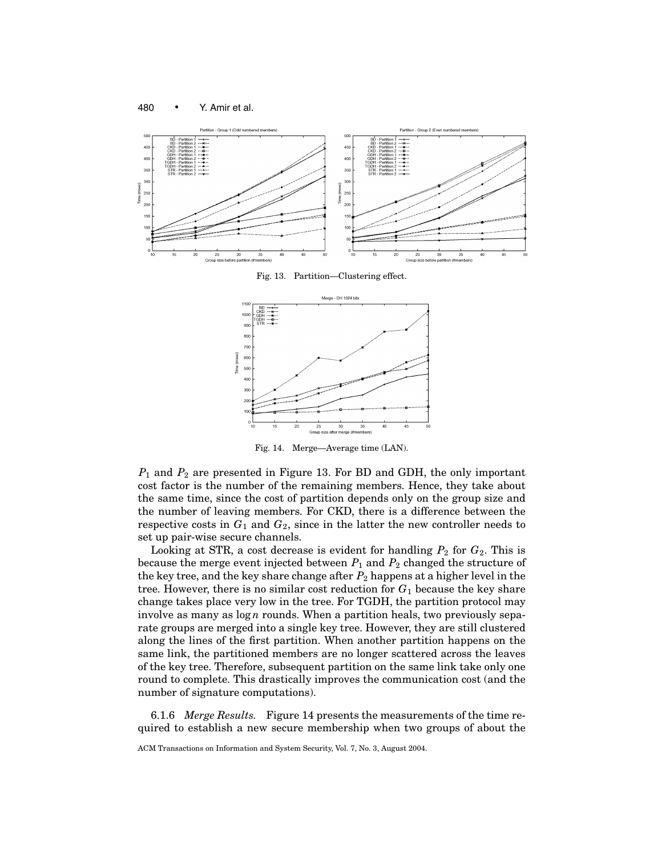

Fig. 13. Partition—Clustering effect.



Fig. 14. Merge—Average time (LAN).

*P*<sup>1</sup> and *P*<sup>2</sup> are presented in Figure 13. For BD and GDH, the only important cost factor is the number of the remaining members. Hence, they take about the same time, since the cost of partition depends only on the group size and the number of leaving members. For CKD, there is a difference between the respective costs in  $G_1$  and  $G_2$ , since in the latter the new controller needs to set up pair-wise secure channels.

Looking at STR, a cost decrease is evident for handling  $P_2$  for  $G_2$ . This is because the merge event injected between  $P_1$  and  $P_2$  changed the structure of the key tree, and the key share change after  $P_2$  happens at a higher level in the tree. However, there is no similar cost reduction for *G*<sup>1</sup> because the key share change takes place very low in the tree. For TGDH, the partition protocol may involve as many as  $\log n$  rounds. When a partition heals, two previously separate groups are merged into a single key tree. However, they are still clustered along the lines of the first partition. When another partition happens on the same link, the partitioned members are no longer scattered across the leaves of the key tree. Therefore, subsequent partition on the same link take only one round to complete. This drastically improves the communication cost (and the number of signature computations).

6.1.6 *Merge Results.* Figure 14 presents the measurements of the time required to establish a new secure membership when two groups of about the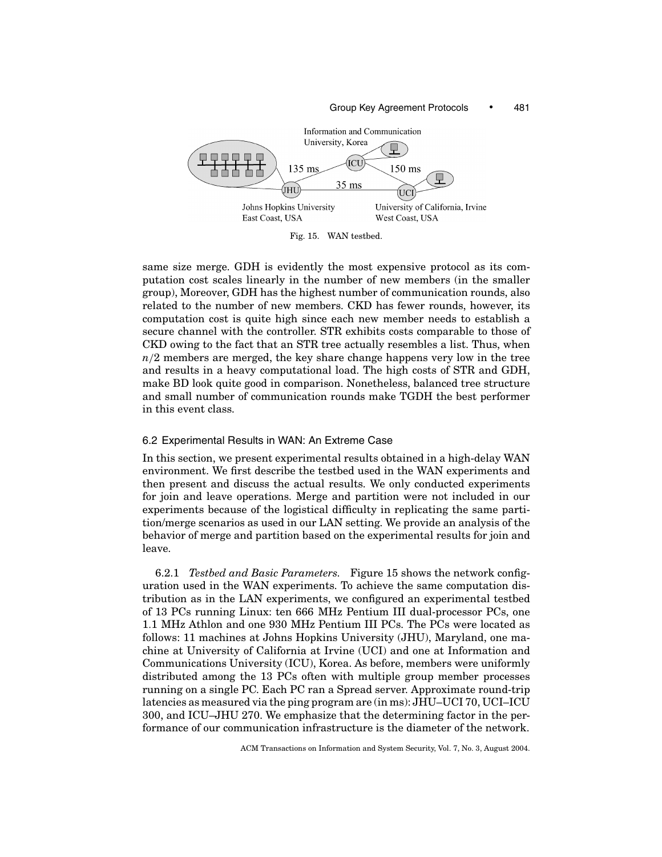

Fig. 15. WAN testbed.

same size merge. GDH is evidently the most expensive protocol as its computation cost scales linearly in the number of new members (in the smaller group), Moreover, GDH has the highest number of communication rounds, also related to the number of new members. CKD has fewer rounds, however, its computation cost is quite high since each new member needs to establish a secure channel with the controller. STR exhibits costs comparable to those of CKD owing to the fact that an STR tree actually resembles a list. Thus, when  $n/2$  members are merged, the key share change happens very low in the tree and results in a heavy computational load. The high costs of STR and GDH, make BD look quite good in comparison. Nonetheless, balanced tree structure and small number of communication rounds make TGDH the best performer in this event class.

#### 6.2 Experimental Results in WAN: An Extreme Case

In this section, we present experimental results obtained in a high-delay WAN environment. We first describe the testbed used in the WAN experiments and then present and discuss the actual results. We only conducted experiments for join and leave operations. Merge and partition were not included in our experiments because of the logistical difficulty in replicating the same partition/merge scenarios as used in our LAN setting. We provide an analysis of the behavior of merge and partition based on the experimental results for join and leave.

6.2.1 *Testbed and Basic Parameters.* Figure 15 shows the network configuration used in the WAN experiments. To achieve the same computation distribution as in the LAN experiments, we configured an experimental testbed of 13 PCs running Linux: ten 666 MHz Pentium III dual-processor PCs, one 1.1 MHz Athlon and one 930 MHz Pentium III PCs. The PCs were located as follows: 11 machines at Johns Hopkins University (JHU), Maryland, one machine at University of California at Irvine (UCI) and one at Information and Communications University (ICU), Korea. As before, members were uniformly distributed among the 13 PCs often with multiple group member processes running on a single PC. Each PC ran a Spread server. Approximate round-trip latencies as measured via the ping program are (in ms): JHU–UCI 70, UCI–ICU 300, and ICU–JHU 270. We emphasize that the determining factor in the performance of our communication infrastructure is the diameter of the network.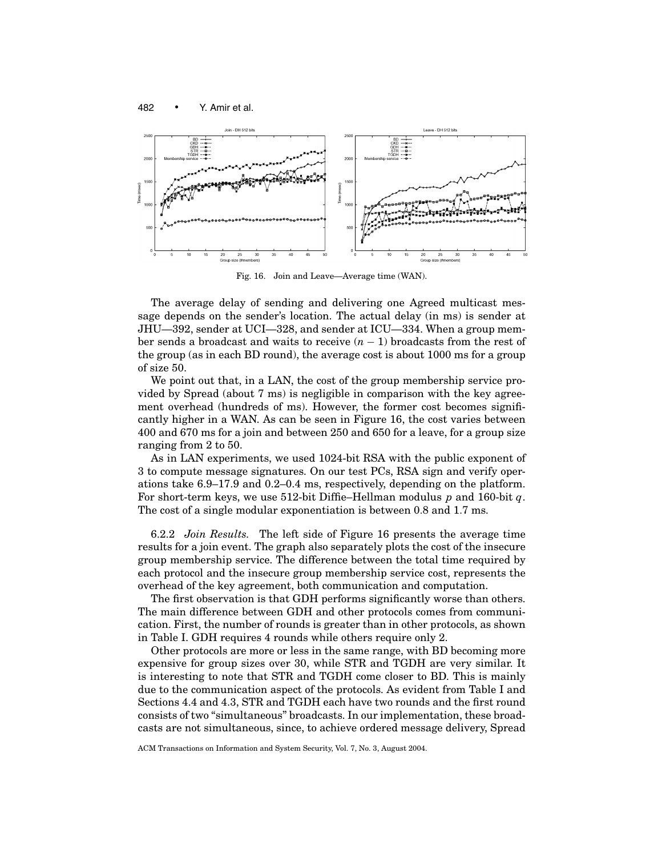

Fig. 16. Join and Leave—Average time (WAN).

The average delay of sending and delivering one Agreed multicast message depends on the sender's location. The actual delay (in ms) is sender at JHU—392, sender at UCI—328, and sender at ICU—334. When a group member sends a broadcast and waits to receive (*n* − 1) broadcasts from the rest of the group (as in each BD round), the average cost is about 1000 ms for a group of size 50.

We point out that, in a LAN, the cost of the group membership service provided by Spread (about 7 ms) is negligible in comparison with the key agreement overhead (hundreds of ms). However, the former cost becomes significantly higher in a WAN. As can be seen in Figure 16, the cost varies between 400 and 670 ms for a join and between 250 and 650 for a leave, for a group size ranging from 2 to 50.

As in LAN experiments, we used 1024-bit RSA with the public exponent of 3 to compute message signatures. On our test PCs, RSA sign and verify operations take 6.9–17.9 and 0.2–0.4 ms, respectively, depending on the platform. For short-term keys, we use 512-bit Diffie–Hellman modulus *p* and 160-bit *q*. The cost of a single modular exponentiation is between 0.8 and 1.7 ms.

6.2.2 *Join Results.* The left side of Figure 16 presents the average time results for a join event. The graph also separately plots the cost of the insecure group membership service. The difference between the total time required by each protocol and the insecure group membership service cost, represents the overhead of the key agreement, both communication and computation.

The first observation is that GDH performs significantly worse than others. The main difference between GDH and other protocols comes from communication. First, the number of rounds is greater than in other protocols, as shown in Table I. GDH requires 4 rounds while others require only 2.

Other protocols are more or less in the same range, with BD becoming more expensive for group sizes over 30, while STR and TGDH are very similar. It is interesting to note that STR and TGDH come closer to BD. This is mainly due to the communication aspect of the protocols. As evident from Table I and Sections 4.4 and 4.3, STR and TGDH each have two rounds and the first round consists of two "simultaneous" broadcasts. In our implementation, these broadcasts are not simultaneous, since, to achieve ordered message delivery, Spread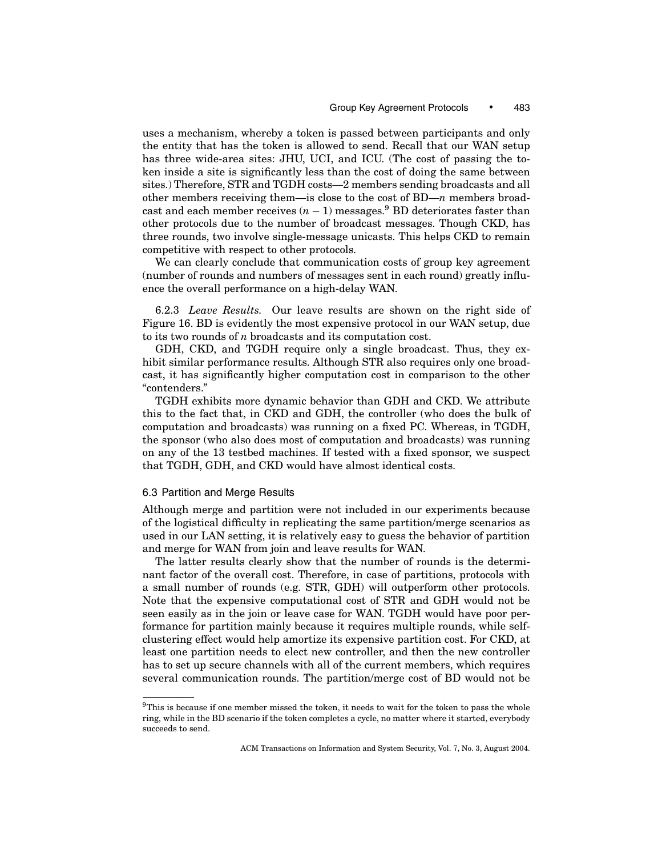uses a mechanism, whereby a token is passed between participants and only the entity that has the token is allowed to send. Recall that our WAN setup has three wide-area sites: JHU, UCI, and ICU. (The cost of passing the token inside a site is significantly less than the cost of doing the same between sites.) Therefore, STR and TGDH costs—2 members sending broadcasts and all other members receiving them—is close to the cost of BD—*n* members broadcast and each member receives  $(n - 1)$  messages.<sup>9</sup> BD deteriorates faster than other protocols due to the number of broadcast messages. Though CKD, has three rounds, two involve single-message unicasts. This helps CKD to remain competitive with respect to other protocols.

We can clearly conclude that communication costs of group key agreement (number of rounds and numbers of messages sent in each round) greatly influence the overall performance on a high-delay WAN.

6.2.3 *Leave Results.* Our leave results are shown on the right side of Figure 16. BD is evidently the most expensive protocol in our WAN setup, due to its two rounds of *n* broadcasts and its computation cost.

GDH, CKD, and TGDH require only a single broadcast. Thus, they exhibit similar performance results. Although STR also requires only one broadcast, it has significantly higher computation cost in comparison to the other "contenders."

TGDH exhibits more dynamic behavior than GDH and CKD. We attribute this to the fact that, in CKD and GDH, the controller (who does the bulk of computation and broadcasts) was running on a fixed PC. Whereas, in TGDH, the sponsor (who also does most of computation and broadcasts) was running on any of the 13 testbed machines. If tested with a fixed sponsor, we suspect that TGDH, GDH, and CKD would have almost identical costs.

#### 6.3 Partition and Merge Results

Although merge and partition were not included in our experiments because of the logistical difficulty in replicating the same partition/merge scenarios as used in our LAN setting, it is relatively easy to guess the behavior of partition and merge for WAN from join and leave results for WAN.

The latter results clearly show that the number of rounds is the determinant factor of the overall cost. Therefore, in case of partitions, protocols with a small number of rounds (e.g. STR, GDH) will outperform other protocols. Note that the expensive computational cost of STR and GDH would not be seen easily as in the join or leave case for WAN. TGDH would have poor performance for partition mainly because it requires multiple rounds, while selfclustering effect would help amortize its expensive partition cost. For CKD, at least one partition needs to elect new controller, and then the new controller has to set up secure channels with all of the current members, which requires several communication rounds. The partition/merge cost of BD would not be

<sup>9</sup>This is because if one member missed the token, it needs to wait for the token to pass the whole ring, while in the BD scenario if the token completes a cycle, no matter where it started, everybody succeeds to send.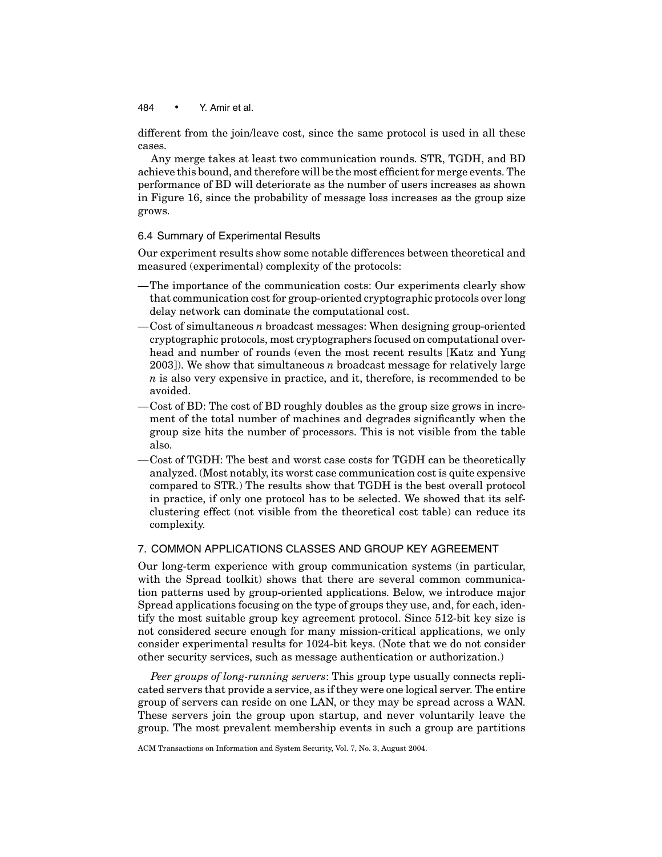different from the join/leave cost, since the same protocol is used in all these cases.

Any merge takes at least two communication rounds. STR, TGDH, and BD achieve this bound, and therefore will be the most efficient for merge events. The performance of BD will deteriorate as the number of users increases as shown in Figure 16, since the probability of message loss increases as the group size grows.

## 6.4 Summary of Experimental Results

Our experiment results show some notable differences between theoretical and measured (experimental) complexity of the protocols:

- —The importance of the communication costs: Our experiments clearly show that communication cost for group-oriented cryptographic protocols over long delay network can dominate the computational cost.
- —Cost of simultaneous *n* broadcast messages: When designing group-oriented cryptographic protocols, most cryptographers focused on computational overhead and number of rounds (even the most recent results [Katz and Yung 2003]). We show that simultaneous *n* broadcast message for relatively large *n* is also very expensive in practice, and it, therefore, is recommended to be avoided.
- —Cost of BD: The cost of BD roughly doubles as the group size grows in increment of the total number of machines and degrades significantly when the group size hits the number of processors. This is not visible from the table also.
- —Cost of TGDH: The best and worst case costs for TGDH can be theoretically analyzed. (Most notably, its worst case communication cost is quite expensive compared to STR.) The results show that TGDH is the best overall protocol in practice, if only one protocol has to be selected. We showed that its selfclustering effect (not visible from the theoretical cost table) can reduce its complexity.

# 7. COMMON APPLICATIONS CLASSES AND GROUP KEY AGREEMENT

Our long-term experience with group communication systems (in particular, with the Spread toolkit) shows that there are several common communication patterns used by group-oriented applications. Below, we introduce major Spread applications focusing on the type of groups they use, and, for each, identify the most suitable group key agreement protocol. Since 512-bit key size is not considered secure enough for many mission-critical applications, we only consider experimental results for 1024-bit keys. (Note that we do not consider other security services, such as message authentication or authorization.)

*Peer groups of long-running servers*: This group type usually connects replicated servers that provide a service, as if they were one logical server. The entire group of servers can reside on one LAN, or they may be spread across a WAN. These servers join the group upon startup, and never voluntarily leave the group. The most prevalent membership events in such a group are partitions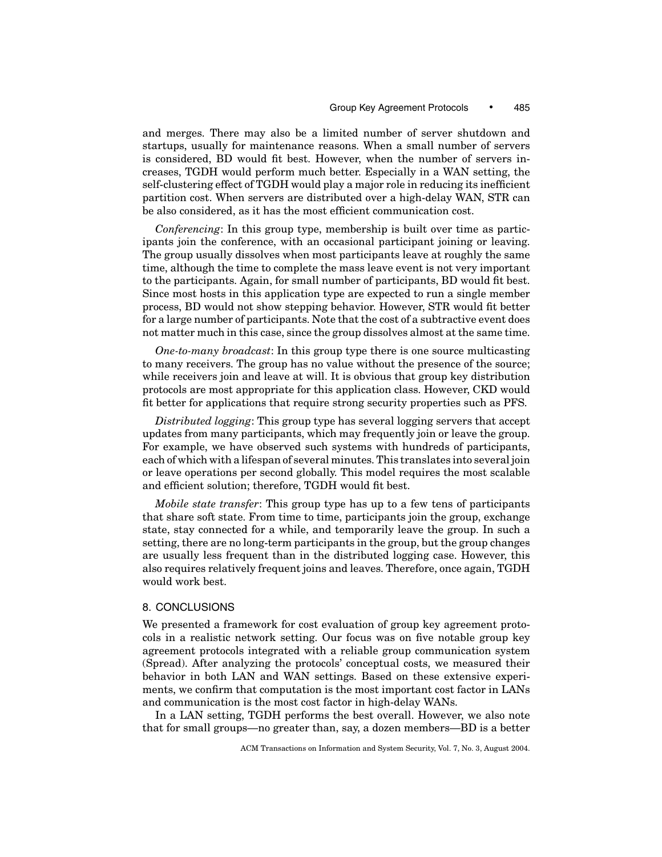and merges. There may also be a limited number of server shutdown and startups, usually for maintenance reasons. When a small number of servers is considered, BD would fit best. However, when the number of servers increases, TGDH would perform much better. Especially in a WAN setting, the self-clustering effect of TGDH would play a major role in reducing its inefficient partition cost. When servers are distributed over a high-delay WAN, STR can be also considered, as it has the most efficient communication cost.

*Conferencing*: In this group type, membership is built over time as participants join the conference, with an occasional participant joining or leaving. The group usually dissolves when most participants leave at roughly the same time, although the time to complete the mass leave event is not very important to the participants. Again, for small number of participants, BD would fit best. Since most hosts in this application type are expected to run a single member process, BD would not show stepping behavior. However, STR would fit better for a large number of participants. Note that the cost of a subtractive event does not matter much in this case, since the group dissolves almost at the same time.

*One-to-many broadcast*: In this group type there is one source multicasting to many receivers. The group has no value without the presence of the source; while receivers join and leave at will. It is obvious that group key distribution protocols are most appropriate for this application class. However, CKD would fit better for applications that require strong security properties such as PFS.

*Distributed logging*: This group type has several logging servers that accept updates from many participants, which may frequently join or leave the group. For example, we have observed such systems with hundreds of participants, each of which with a lifespan of several minutes. This translates into several join or leave operations per second globally. This model requires the most scalable and efficient solution; therefore, TGDH would fit best.

*Mobile state transfer*: This group type has up to a few tens of participants that share soft state. From time to time, participants join the group, exchange state, stay connected for a while, and temporarily leave the group. In such a setting, there are no long-term participants in the group, but the group changes are usually less frequent than in the distributed logging case. However, this also requires relatively frequent joins and leaves. Therefore, once again, TGDH would work best.

# 8. CONCLUSIONS

We presented a framework for cost evaluation of group key agreement protocols in a realistic network setting. Our focus was on five notable group key agreement protocols integrated with a reliable group communication system (Spread). After analyzing the protocols' conceptual costs, we measured their behavior in both LAN and WAN settings. Based on these extensive experiments, we confirm that computation is the most important cost factor in LANs and communication is the most cost factor in high-delay WANs.

In a LAN setting, TGDH performs the best overall. However, we also note that for small groups—no greater than, say, a dozen members—BD is a better

ACM Transactions on Information and System Security, Vol. 7, No. 3, August 2004.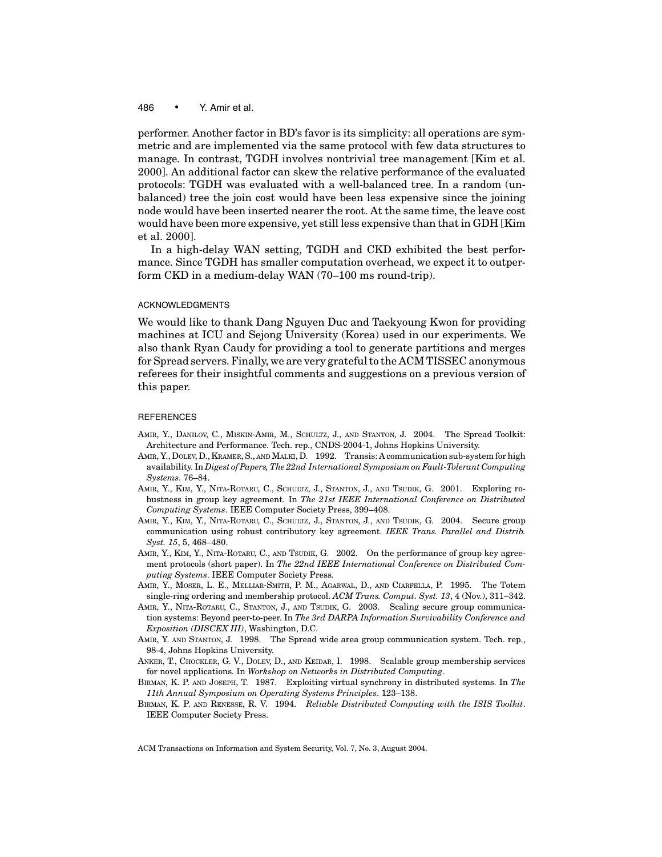performer. Another factor in BD's favor is its simplicity: all operations are symmetric and are implemented via the same protocol with few data structures to manage. In contrast, TGDH involves nontrivial tree management [Kim et al. 2000]. An additional factor can skew the relative performance of the evaluated protocols: TGDH was evaluated with a well-balanced tree. In a random (unbalanced) tree the join cost would have been less expensive since the joining node would have been inserted nearer the root. At the same time, the leave cost would have been more expensive, yet still less expensive than that in GDH [Kim et al. 2000].

In a high-delay WAN setting, TGDH and CKD exhibited the best performance. Since TGDH has smaller computation overhead, we expect it to outperform CKD in a medium-delay WAN (70–100 ms round-trip).

#### ACKNOWLEDGMENTS

We would like to thank Dang Nguyen Duc and Taekyoung Kwon for providing machines at ICU and Sejong University (Korea) used in our experiments. We also thank Ryan Caudy for providing a tool to generate partitions and merges for Spread servers. Finally, we are very grateful to the ACM TISSEC anonymous referees for their insightful comments and suggestions on a previous version of this paper.

## **REFERENCES**

- AMIR, Y., DANILOV, C., MISKIN-AMIR, M., SCHULTZ, J., AND STANTON, J. 2004. The Spread Toolkit: Architecture and Performance. Tech. rep., CNDS-2004-1, Johns Hopkins University.
- AMIR, Y., DOLEV, D., KRAMER, S., AND MALKI, D. 1992. Transis: A communication sub-system for high availability. In *Digest of Papers, The 22nd International Symposium on Fault-Tolerant Computing Systems*. 76–84.
- AMIR, Y., KIM, Y., NITA-ROTARU, C., SCHULTZ, J., STANTON, J., AND TSUDIK, G. 2001. Exploring robustness in group key agreement. In *The 21st IEEE International Conference on Distributed Computing Systems*. IEEE Computer Society Press, 399–408.
- AMIR, Y., KIM, Y., NITA-ROTARU, C., SCHULTZ, J., STANTON, J., AND TSUDIK, G. 2004. Secure group communication using robust contributory key agreement. *IEEE Trans. Parallel and Distrib. Syst. 15*, 5, 468–480.
- AMIR, Y., KIM, Y., NITA-ROTARU, C., AND TSUDIK, G. 2002. On the performance of group key agreement protocols (short paper). In *The 22nd IEEE International Conference on Distributed Computing Systems*. IEEE Computer Society Press.
- AMIR, Y., MOSER, L. E., MELLIAR-SMITH, P. M., AGARWAL, D., AND CIARFELLA, P. 1995. The Totem single-ring ordering and membership protocol. *ACM Trans. Comput. Syst. 13*, 4 (Nov.), 311–342.
- AMIR, Y., NITA-ROTARU, C., STANTON, J., AND TSUDIK, G. 2003. Scaling secure group communication systems: Beyond peer-to-peer. In *The 3rd DARPA Information Survivability Conference and Exposition (DISCEX III)*, Washington, D.C.
- AMIR, Y. AND STANTON, J. 1998. The Spread wide area group communication system. Tech. rep., 98-4, Johns Hopkins University.
- ANKER, T., CHOCKLER, G. V., DOLEV, D., AND KEIDAR, I. 1998. Scalable group membership services for novel applications. In *Workshop on Networks in Distributed Computing*.
- BIRMAN, K. P. AND JOSEPH, T. 1987. Exploiting virtual synchrony in distributed systems. In *The 11th Annual Symposium on Operating Systems Principles*. 123–138.
- BIRMAN, K. P. AND RENESSE, R. V. 1994. *Reliable Distributed Computing with the ISIS Toolkit*. IEEE Computer Society Press.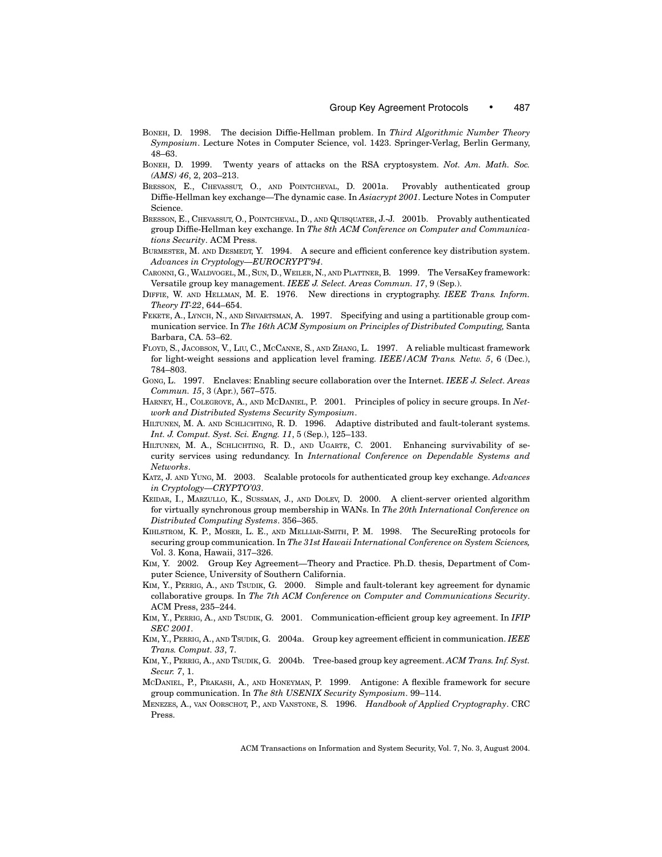- BONEH, D. 1998. The decision Diffie-Hellman problem. In *Third Algorithmic Number Theory Symposium*. Lecture Notes in Computer Science, vol. 1423. Springer-Verlag, Berlin Germany, 48–63.
- BONEH, D. 1999. Twenty years of attacks on the RSA cryptosystem. *Not. Am. Math. Soc. (AMS) 46*, 2, 203–213.
- BRESSON, E., CHEVASSUT, O., AND POINTCHEVAL, D. 2001a. Provably authenticated group Diffie-Hellman key exchange—The dynamic case. In *Asiacrypt 2001*. Lecture Notes in Computer Science.
- BRESSON, E., CHEVASSUT, O., POINTCHEVAL, D., AND QUISQUATER, J.-J. 2001b. Provably authenticated group Diffie-Hellman key exchange. In *The 8th ACM Conference on Computer and Communications Security*. ACM Press.
- BURMESTER, M. AND DESMEDT, Y. 1994. A secure and efficient conference key distribution system. *Advances in Cryptology—EUROCRYPT'94*.
- CARONNI, G., WALDVOGEL, M., SUN, D., WEILER, N., AND PLATTNER, B. 1999. The VersaKey framework: Versatile group key management. *IEEE J. Select. Areas Commun. 17*, 9 (Sep.).
- DIFFIE, W. AND HELLMAN, M. E. 1976. New directions in cryptography. *IEEE Trans. Inform. Theory IT-22*, 644–654.
- FEKETE, A., LYNCH, N., AND SHVARTSMAN, A. 1997. Specifying and using a partitionable group communication service. In *The 16th ACM Symposium on Principles of Distributed Computing,* Santa Barbara, CA. 53–62.
- FLOYD, S., JACOBSON, V., LIU, C., MCCANNE, S., AND ZHANG, L. 1997. A reliable multicast framework for light-weight sessions and application level framing. *IEEE/ACM Trans. Netw. 5*, 6 (Dec.), 784–803.
- GONG, L. 1997. Enclaves: Enabling secure collaboration over the Internet. *IEEE J. Select. Areas Commun. 15*, 3 (Apr.), 567–575.
- HARNEY, H., COLEGROVE, A., AND MCDANIEL, P. 2001. Principles of policy in secure groups. In *Network and Distributed Systems Security Symposium*.
- HILTUNEN, M. A. AND SCHLICHTING, R. D. 1996. Adaptive distributed and fault-tolerant systems. *Int. J. Comput. Syst. Sci. Engng. 11*, 5 (Sep.), 125–133.
- HILTUNEN, M. A., SCHLICHTING, R. D., AND UGARTE, C. 2001. Enhancing survivability of security services using redundancy. In *International Conference on Dependable Systems and Networks*.
- KATZ, J. AND YUNG, M. 2003. Scalable protocols for authenticated group key exchange. *Advances in Cryptology—CRYPTO'03*.
- KEIDAR, I., MARZULLO, K., SUSSMAN, J., AND DOLEV, D. 2000. A client-server oriented algorithm for virtually synchronous group membership in WANs. In *The 20th International Conference on Distributed Computing Systems*. 356–365.
- KIHLSTROM, K. P., MOSER, L. E., AND MELLIAR-SMITH, P. M. 1998. The SecureRing protocols for securing group communication. In *The 31st Hawaii International Conference on System Sciences,* Vol. 3. Kona, Hawaii, 317–326.
- KIM, Y. 2002. Group Key Agreement—Theory and Practice. Ph.D. thesis, Department of Computer Science, University of Southern California.
- KIM, Y., PERRIG, A., AND TSUDIK, G. 2000. Simple and fault-tolerant key agreement for dynamic collaborative groups. In *The 7th ACM Conference on Computer and Communications Security*. ACM Press, 235–244.
- KIM, Y., PERRIG, A., AND TSUDIK, G. 2001. Communication-efficient group key agreement. In *IFIP SEC 2001*.
- KIM, Y., PERRIG, A., AND TSUDIK, G. 2004a. Group key agreement efficient in communication. *IEEE Trans. Comput. 33*, 7.
- KIM, Y., PERRIG, A., AND TSUDIK, G. 2004b. Tree-based group key agreement. *ACM Trans. Inf. Syst. Secur. 7*, 1.
- MCDANIEL, P., PRAKASH, A., AND HONEYMAN, P. 1999. Antigone: A flexible framework for secure group communication. In *The 8th USENIX Security Symposium*. 99–114.
- MENEZES, A., VAN OORSCHOT, P., AND VANSTONE, S. 1996. *Handbook of Applied Cryptography*. CRC Press.